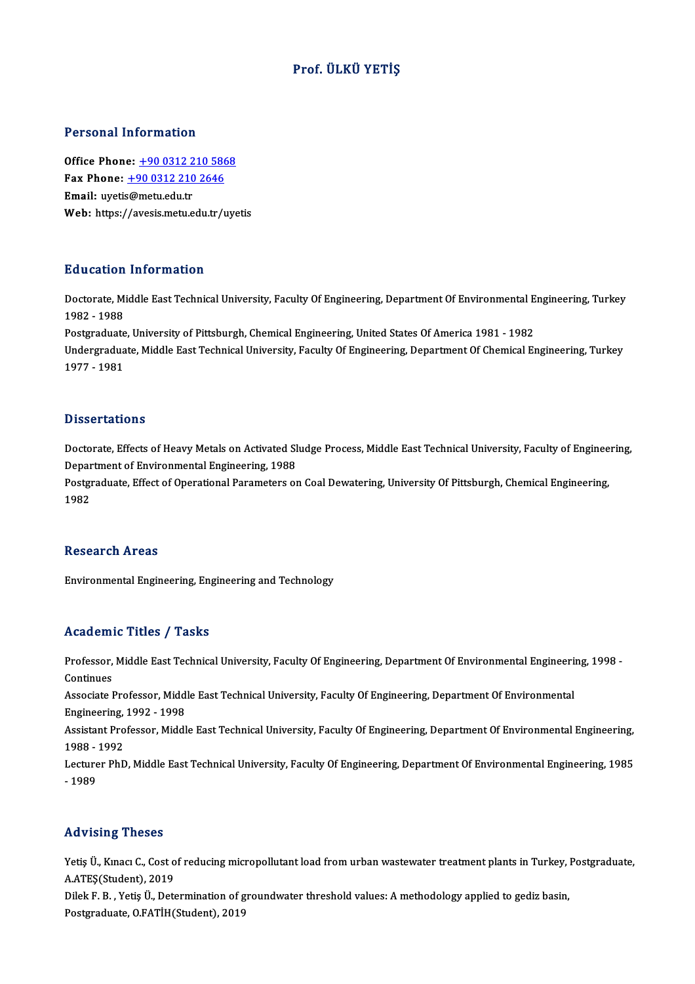## Prof. ÜLKÜ YETİŞ

## Personal Information

Office Phone: +90 0312 210 5868 Fax Phone: <u>+90 0312 210 586</u><br>Fax Phone: <u>+90 0312 210 586</u><br>Fmail: wratis@maty.edu.tr Office Phone: <u>+90 0312 2</u><br>Fax Phone: <u>+90 0312 210</u><br>Email: uyetis@metu.edu.tr<br>Web: https://avesis.metu.e Email: uyetis@metu.edu.tr<br>Web: https:/[/avesis.metu.edu.tr/](tel:+90 0312 210 2646)[uye](tel:+90 0312 210 5868)tis

## Education Information

**Education Information**<br>Doctorate, Middle East Technical University, Faculty Of Engineering, Department Of Environmental Engineering, Turkey<br>1982 - 1999 2<br>1982 - 1988<br>Postareduate Doctorate, Middle East Technical University, Faculty Of Engineering, Department Of Environmental E<br>1982 - 1988<br>Postgraduate, University of Pittsburgh, Chemical Engineering, United States Of America 1981 - 1982<br>Undergraduat

1982 - 1988<br>Postgraduate, University of Pittsburgh, Chemical Engineering, United States Of America 1981 - 1982<br>Undergraduate, Middle East Technical University, Faculty Of Engineering, Department Of Chemical Engineering, Tu Postgraduate, University of Pittsburgh, Chemical Engineering, United States Of America 1981 - 1982

## **Dissertations**

Dissertations<br>Doctorate, Effects of Heavy Metals on Activated Sludge Process, Middle East Technical University, Faculty of Engineering,<br>Department of Environmental Engineering, 1988 Disport cations<br>Doctorate, Effects of Heavy Metals on Activated Sl<br>Department of Environmental Engineering, 1988<br>Restauduate, Effect of Operational Persynators of Doctorate, Effects of Heavy Metals on Activated Sludge Process, Middle East Technical University, Faculty of Enginee<br>Department of Environmental Engineering, 1988<br>Postgraduate, Effect of Operational Parameters on Coal Dewa

Depar<br>Postgi<br>1982 1982<br>Research Areas

Environmental Engineering, Engineering and Technology

## Academic Titles / Tasks

Academic Titles / Tasks<br>Professor, Middle East Technical University, Faculty Of Engineering, Department Of Environmental Engineering, 1998 -<br>Centinues Professor,<br>Continues<br>Associate I Professor, Middle East Technical University, Faculty Of Engineering, Department Of Environmental Engineerin<br>Continues<br>Associate Professor, Middle East Technical University, Faculty Of Engineering, Department Of Environment

Continues<br>Associate Professor, Midd<br>Engineering, 1992 - 1998<br>Assistant Professor, Middl Associate Professor, Middle East Technical University, Faculty Of Engineering, Department Of Environmental<br>Engineering, 1992 - 1998<br>Assistant Professor, Middle East Technical University, Faculty Of Engineering, Department

Engineering, 1992 - 1998<br>Assistant Professor, Middle East Technical University, Faculty Of Engineering, Department Of Environmental Engineering,<br>1988 - 1992<br>Lecturer PhD, Middle East Technical University, Faculty Of Engine Assistant Professor, Middle East Technical University, Faculty Of Engineering, Department Of Environmental Engineering,<br>1988 - 1992<br>Lecturer PhD, Middle East Technical University, Faculty Of Engineering, Department Of Envi

1988 - 1992<br>Lecturer Ph<br>- 1989

## Advising Theses

Advising Theses<br>Yetiş Ü., Kınacı C., Cost of reducing micropollutant load from urban wastewater treatment plants in Turkey, Postgraduate,<br>A ATES(Student), 2019 Yetiş Ü., Kınacı C., Cost o<br>A.ATEŞ(Student), 2019<br>Dilak E. B., Yetiş Ü. Dete Yetiş Ü., Kınacı C., Cost of reducing micropollutant load from urban wastewater treatment plants in Turkey, l<br>A.ATEŞ(Student), 2019<br>Dilek F. B. , Yetiş Ü., Determination of groundwater threshold values: A methodology appli

A.ATEŞ(Student), 2019<br>Dilek F. B. , Yetiş Ü., Determination of groundwater threshold values: A methodology applied to gediz basin,<br>Postgraduate, O.FATİH(Student), 2019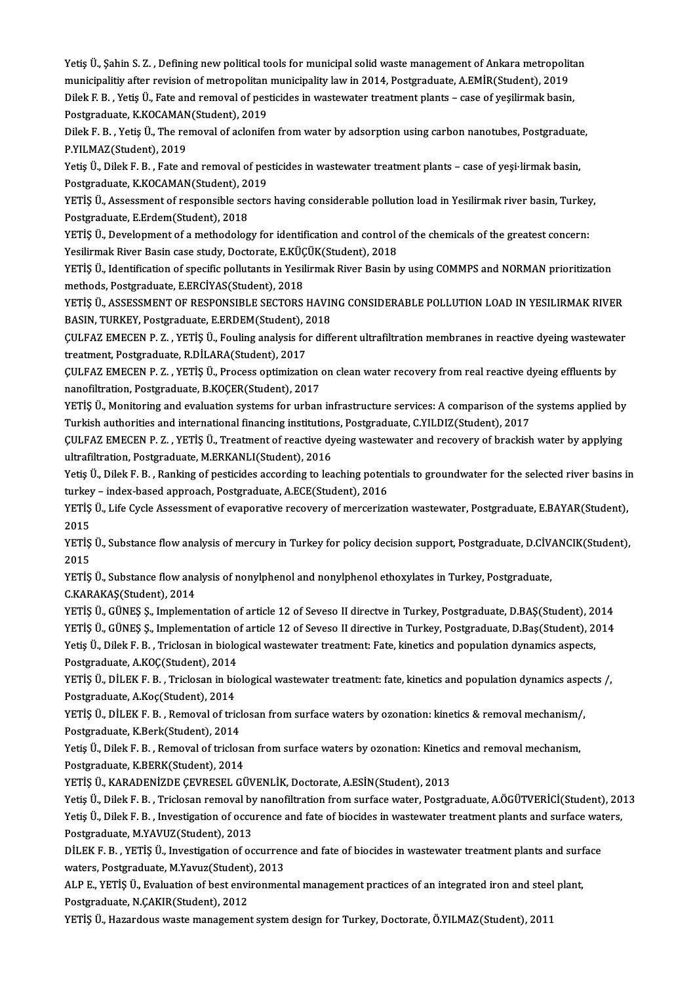Yetiş Ü., Şahin S. Z. , Defining new political tools for municipal solid waste management of Ankara metropolitan<br>municipalitiv after revision of metropolitan municipality lew in 2014, Bestereduate, A EMID(Student), 2010. Yetiş Ü., Şahin S. Z. , Defining new political tools for municipal solid waste management of Ankara metropolit<br>municipalitiy after revision of metropolitan municipality law in 2014, Postgraduate, A.EMİR(Student), 2019<br>Dila Yetiş Ü., Şahin S. Z. , Defining new political tools for municipal solid waste management of Ankara metropolita<br>municipalitiy after revision of metropolitan municipality law in 2014, Postgraduate, A.EMİR(Student), 2019<br>Dil municipalitiy after revision of metropolitan municipality law in 2014, Postgraduate, A.EMİR(Student), 2019<br>Dilek F. B. , Yetis Ü., Fate and removal of pesticides in wastewater treatment plants – case of yesilirmak basin, Dilek F. B. , Yetiş Ü., Fate and removal of pesticides in wastewater treatment plants – case of yeşilirmak basin,<br>Postgraduate, K.KOCAMAN(Student), 2019<br>Dilek F. B. , Yetiş Ü., The removal of aclonifen from water by adsorp

Postgraduate, K.KOCAMAN(Student), 2019<br>Dilek F. B. , Yetiş Ü., The removal of aclonife<br>P.YILMAZ(Student), 2019 Dilek F. B. , Yetiş Ü., The removal of aclonifen from water by adsorption using carbon nanotubes, Postgraduate<br>P.YILMAZ(Student), 2019<br>Yetiş Ü., Dilek F. B. , Fate and removal of pesticides in wastewater treatment plants –

Yetiş Ü., Dilek F. B. , Fate and removal of pesticides in wastewater treatment plants – case of yeşi·lirmak basin,<br>Postgraduate, K.KOCAMAN(Student), 2019

YETİS Ü., Assessment of responsible sectors having considerable pollution load in Yesilirmak river basin, Turkey, Postgraduate, E.Erdem(Student), 2018 YETİŞ Ü., Assessment of responsible sectors having considerable pollution load in Yesilirmak river basin, Turkey<br>Postgraduate, E.Erdem(Student), 2018<br>YETİŞ Ü., Development of a methodology for identification and control of

Postgraduate, E.Erdem(Student), 2018<br>YETİŞ Ü., Development of a methodology for identification and control (<br>Yesilirmak River Basin case study, Doctorate, E.KÜÇÜK(Student), 2018<br>YETİS Ü. Identification of specific pollutan

Yesilirmak River Basin case study, Doctorate, E.KÜÇÜK(Student), 2018<br>YETİŞ Ü., Identification of specific pollutants in Yesilirmak River Basin by using COMMPS and NORMAN prioritization methods, Postgraduate, E.ERCİYAS(Student), 2018 YETİŞ Ü., Identification of specific pollutants in Yesilirmak River Basin by using COMMPS and NORMAN prioritization<br>methods, Postgraduate, E.ERCİYAS(Student), 2018<br>YETİŞ Ü., ASSESSMENT OF RESPONSIBLE SECTORS HAVING CONSIDE

methods, Postgraduate, E.ERCİYAS(Student), 2018<br>YETİŞ Ü., ASSESSMENT OF RESPONSIBLE SECTORS HAVII<br>BASIN, TURKEY, Postgraduate, E.ERDEM(Student), 2018<br>CULEAZ EMECEN B. Z., YETİŞ Ü. Fouling analysis for diff. YETİŞ Ü., ASSESSMENT OF RESPONSIBLE SECTORS HAVING CONSIDERABLE POLLUTION LOAD IN YESILIRMAK RIVER<br>BASIN, TURKEY, Postgraduate, E.ERDEM(Student), 2018<br>ÇULFAZ EMECEN P. Z. , YETİŞ Ü., Fouling analysis for different ultrafil

BASIN, TURKEY, Postgraduate, E.ERDEM(Student), 2018<br>CULFAZ EMECEN P. Z. , YETİŞ Ü., Fouling analysis for different ultrafiltration membranes in reactive dyeing wastewate<br>treatment, Postgraduate, R.DİLARA(Student), 2017<br>CUL ÇULFAZ EMECEN P. Z., YETİŞ Ü., Fouling analysis for different ultrafiltration membranes in reactive dyeing wastewater

nanofiltration, Postgraduate, B.KOÇER(Student), 2017 CULFAZ EMECEN P. Z. , YETİŞ Ü., Process optimization on clean water recovery from real reactive dyeing effluents by<br>nanofiltration, Postgraduate, B.KOÇER(Student), 2017<br>YETİŞ Ü., Monitoring and evaluation systems for urban

nanofiltration, Postgraduate, B.KOÇER(Student), 2017<br>YETİŞ Ü., Monitoring and evaluation systems for urban infrastructure services: A comparison of the<br>Turkish authorities and international financing institutions, Postgrad YETİŞ Ü., Monitoring and evaluation systems for urban infrastructure services: A comparison of the systems applied by<br>Turkish authorities and international financing institutions, Postgraduate, C.YILDIZ(Student), 2017<br>ÇULF

Turkish authorities and international financing institution<br>CULFAZ EMECEN P. Z. , YETİŞ Ü., Treatment of reactive dy<br>ultrafiltration, Postgraduate, M.ERKANLI(Student), 2016<br>Vetis Ü. Dilek E. B., Banking of postisides assen CULFAZ EMECEN P. Z. , YETİŞ Ü., Treatment of reactive dyeing wastewater and recovery of brackish water by applying<br>ultrafiltration, Postgraduate, M.ERKANLI(Student), 2016<br>Yetiş Ü., Dilek F. B. , Ranking of pesticides accor

ultrafiltration, Postgraduate, M.ERKANLI(Student), 2016<br>Yetiş Ü., Dilek F. B. , Ranking of pesticides according to leaching poten<br>turkey – index-based approach, Postgraduate, A.ECE(Student), 2016<br>YETİS Ü. Life Cicle Assess Yetiş Ü., Dilek F. B. , Ranking of pesticides according to leaching potentials to groundwater for the selected river basins in turkey – index-based approach, Postgraduate, A.ECE(Student), 2016<br>YETİŞ Ü., Life Cycle Assessme

turkey – index-based approach, Postgraduate, A.ECE(Student), 2016<br>YETİŞ Ü., Life Cycle Assessment of evaporative recovery of mercerization wastewater, Postgraduate, E.BAYAR(Student),<br>2015 YETİŞ Ü., Life Cycle Assessment of evaporative recovery of mercerization wastewater, Postgraduate, E.BAYAR(Student),<br>2015<br>YETİŞ Ü., Substance flow analysis of mercury in Turkey for policy decision support, Postgraduate, D.

2015<br>YETİŞ<br>2015<br><sub>V</sub>eris YETİŞ Ü., Substance flow analysis of mercury in Turkey for policy decision support, Postgraduate, D.CİV.<br>2015<br>YETİŞ Ü., Substance flow analysis of nonylphenol and nonylphenol ethoxylates in Turkey, Postgraduate,<br>C.KARAKAS(

2015<br>YETİŞ Ü., Substance flow analysis of nonylphenol and nonylphenol ethoxylates in Turkey, Postgraduate,<br>C.KARAKAŞ(Student), 2014

YETİŞ Ü., Substance flow analysis of nonylphenol and nonylphenol ethoxylates in Turkey, Postgraduate,<br>C.KARAKAŞ(Student), 2014<br>YETİŞ Ü., GÜNEŞ Ş., Implementation of article 12 of Seveso II directve in Turkey, Postgraduate,

C.KARAKAŞ(Student), 2014<br>YETİŞ Ü., GÜNEŞ Ş., Implementation of article 12 of Seveso II directve in Turkey, Postgraduate, D.BAŞ(Student), 2014<br>YETİŞ Ü., GÜNEŞ Ş., Implementation of article 12 of Seveso II directive in Turke YETİŞ Ü., GÜNEŞ Ş., Implementation of article 12 of Seveso II directve in Turkey, Postgraduate, D.BAŞ(Student), 20<br>YETİŞ Ü., GÜNEŞ Ş., Implementation of article 12 of Seveso II directive in Turkey, Postgraduate, D.Baş(Stud YETİŞ Ü., GÜNEŞ Ş., Implementation o<br>Yetiş Ü., Dilek F. B. , Triclosan in biolo<br>Postgraduate, A.KOÇ(Student), 2014<br>YETİŞ Ü. DİLEK E. B., Triclosan in bio

Yetiş Ü., Dilek F. B. , Triclosan in biological wastewater treatment: Fate, kinetics and population dynamics aspects,<br>Postgraduate, A.KOÇ(Student), 2014<br>YETİŞ Ü., DİLEK F. B. , Triclosan in biological wastewater treatment: Postgraduate, A.Koç(Student), 2014 YETİŞ Ü., DİLEK F. B. , Triclosan in biological wastewater treatment: fate, kinetics and population dynamics aspe<br>Postgraduate, A.Koç(Student), 2014<br>YETİŞ Ü., DİLEK F. B. , Removal of triclosan from surface waters by ozona

Postgraduate, A.Koç(Student), 2014<br>YETİŞ Ü., DİLEK F. B. , Removal of tricl<br>Postgraduate, K.Berk(Student), 2014<br>Yetiş Ü. Dilek E. B. , Bemoval of tricles YETİŞ Ü., DİLEK F. B. , Removal of triclosan from surface waters by ozonation: kinetics & removal mechanism/<br>Postgraduate, K.Berk(Student), 2014<br>Yetiş Ü., Dilek F. B. , Removal of triclosan from surface waters by ozonation

Postgraduate, K.Berk(Student), 2014<br>Yetiş Ü., Dilek F. B. , Removal of triclosa<br>Postgraduate, K.BERK(Student), 2014<br>YETİŞ Ü. KARADENİZDE CEVRESEL CÜ Yetiş Ü., Dilek F. B. , Removal of triclosan from surface waters by ozonation: Kinetic<br>Postgraduate, K.BERK(Student), 2014<br>YETİŞ Ü., KARADENİZDE ÇEVRESEL GÜVENLİK, Doctorate, A.ESİN(Student), 2013<br>Yetiş Ü. Dilek E. B., Tri

Postgraduate, K.BERK(Student), 2014<br>YETİŞ Ü., KARADENİZDE ÇEVRESEL GÜVENLİK, Doctorate, A.ESİN(Student), 2013<br>Yetiş Ü., Dilek F. B. , Triclosan removal by nanofiltration from surface water, Postgraduate, A.ÖGÜTVERİCİ(Stude

YETİŞ Ü., KARADENİZDE ÇEVRESEL GÜVENLİK, Doctorate, A.ESİN(Student), 2013<br>Yetiş Ü., Dilek F. B. , Triclosan removal by nanofiltration from surface water, Postgraduate, A.ÖGÜTVERİCİ(Student), 20<br>Yetiş Ü., Dilek F. B. , Inve Yetiş Ü., Dilek F. B. , Triclosan removal by<br>Yetiş Ü., Dilek F. B. , Investigation of occu<br>Postgraduate, M.YAVUZ(Student), 2013<br>Dil EK E. B. , VETİŞ Ü. Investigation of 99 Yetiş Ü., Dilek F. B. , Investigation of occurence and fate of biocides in wastewater treatment plants and surface waters,<br>Postgraduate, M.YAVUZ(Student), 2013

Postgraduate, M.YAVUZ(Student), 2013<br>DİLEK F. B. , YETİŞ Ü., Investigation of occurren<br>waters, Postgraduate, M.Yavuz(Student), 2013<br>ALB E. VETİS Ü. Evoluation of best onvironmen DİLEK F. B. , YETİŞ Ü., Investigation of occurrence and fate of biocides in wastewater treatment plants and surf<br>waters, Postgraduate, M.Yavuz(Student), 2013<br>ALP E., YETİŞ Ü., Evaluation of best environmental management pr

waters, Postgraduate, M.Yavuz(Student), 2013<br>ALP E., YETİŞ Ü., Evaluation of best environmental management practices of an integrated iron and steel plant,<br>Postgraduate, N.ÇAKIR(Student), 2012

YETİŞ Ü., Hazardous waste management system design for Turkey, Doctorate, Ö.YILMAZ(Student), 2011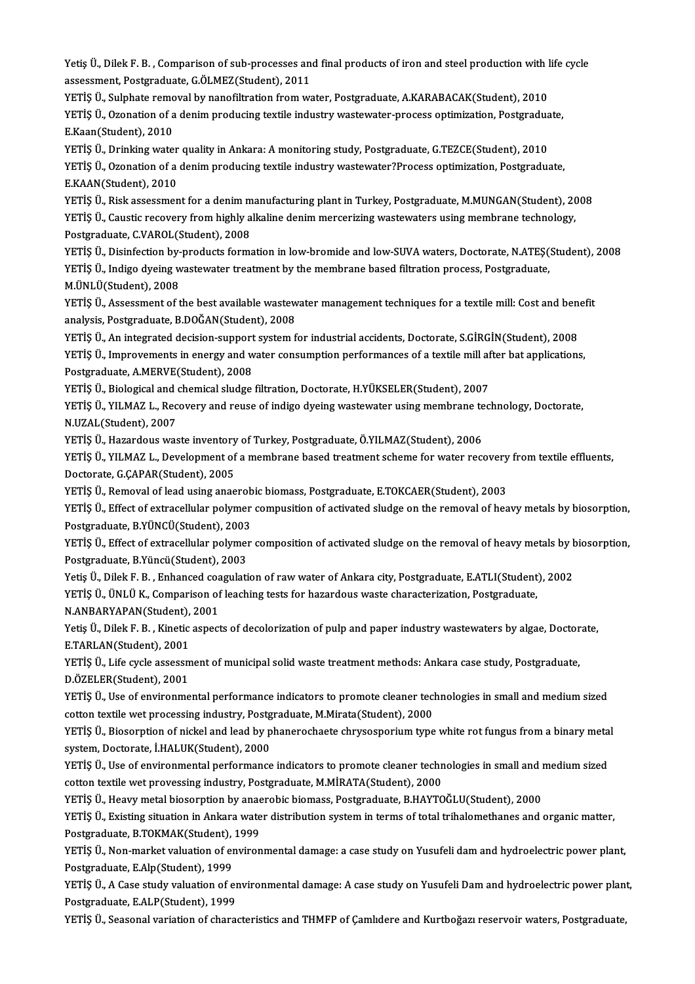Yetiş Ü., Dilek F. B. , Comparison of sub-processes and final products of iron and steel production with life cycle<br>255899ment, Restanduate, C.ÖJ MEZ(Student), 2011 Yetiş Ü., Dilek F. B. , Comparison of sub-processes an<br>assessment, Postgraduate, G.ÖLMEZ(Student), 2011<br>VETİS Ü. Sulphata ramaval bu nanafiltration from ve Yetiş Ü., Dilek F. B. , Comparison of sub-processes and final products of iron and steel production with l<br>assessment, Postgraduate, G.ÖLMEZ(Student), 2011<br>YETİŞ Ü., Sulphate removal by nanofiltration from water, Postgradu

assessment, Postgraduate, G.ÖLMEZ(Student), 2011<br>YETİŞ Ü., Sulphate removal by nanofiltration from water, Postgraduate, A.KARABACAK(Student), 2010<br>YETİŞ Ü., Ozonation of a denim producing textile industry wastewater-proces YETİŞ Ü., Sulphate remo<br>YETİŞ Ü., Ozonation of a<br>E.Kaan(Student), 2010<br>YETİS Ü. Drinking urate YETİŞ Ü., Ozonation of a denim producing textile industry wastewater-process optimization, Postgradua<br>E.Kaan(Student), 2010<br>YETİŞ Ü., Drinking water quality in Ankara: A monitoring study, Postgraduate, G.TEZCE(Student), 20

E.Kaan(Student), 2010<br>YETİŞ Ü., Drinking water quality in Ankara: A monitoring study, Postgraduate, G.TEZCE(Student), 2010<br>YETİŞ Ü., Ozonation of a denim producing textile industry wastewater?Process optimization, Postgrad YETİŞ Ü., Drinking water<br>YETİŞ Ü., Ozonation of a<br>E.KAAN(Student), 2010<br>YETİS Ü. Bisk assassman YETİŞ Ü., Ozonation of a denim producing textile industry wastewater?Process optimization, Postgraduate,<br>E.KAAN(Student), 2010<br>YETİŞ Ü., Risk assessment for a denim manufacturing plant in Turkey, Postgraduate, M.MUNGAN(Stu

E.KAAN(Student), 2010<br>YETİŞ Ü., Risk assessment for a denim manufacturing plant in Turkey, Postgraduate, M.MUNGAN(Student), 20<br>YETİŞ Ü., Caustic recovery from highly alkaline denim mercerizing wastewaters using membrane te YETİŞ Ü., Risk assessment for a denim m<br>YETİŞ Ü., Caustic recovery from highly a<br>Postgraduate, C.VAROL(Student), 2008<br>YETİS Ü. Disinfestion bu nradusta forma YETİŞ Ü., Caustic recovery from highly alkaline denim mercerizing wastewaters using membrane technology,<br>Postgraduate, C.VAROL(Student), 2008<br>YETİŞ Ü., Disinfection by-products formation in low-bromide and low-SUVA waters,

Postgraduate, C.VAROL(Student), 2008<br>YETİŞ Ü., Disinfection by-products formation in low-bromide and low-SUVA waters, Doctorate, N.ATEŞ(<br>YETİŞ Ü., Indigo dyeing wastewater treatment by the membrane based filtration process YETİŞ Ü., Disinfection by-<br>YETİŞ Ü., Indigo dyeing w<br>M.ÜNLÜ(Student), 2008<br>YETİS Ü. Assessment of t YETİŞ Ü., Indigo dyeing wastewater treatment by the membrane based filtration process, Postgraduate,<br>M.ÜNLÜ(Student), 2008<br>YETİŞ Ü., Assessment of the best available wastewater management techniques for a textile mill: Cos

M.ÜNLÜ(Student), 2008<br>YETİŞ Ü., Assessment of the best available wastew<br>analysis, Postgraduate, B.DOĞAN(Student), 2008<br>YETİŞ Ü. An integrated desision sunnant system f YETİŞ Ü., Assessment of the best available wastewater management techniques for a textile mill: Cost and ben<br>analysis, Postgraduate, B.DOĞAN(Student), 2008<br>YETİŞ Ü., An integrated decision-support system for industrial acc

analysis, Postgraduate, B.DOĞAN(Student), 2008<br>YETİŞ Ü., An integrated decision-support system for industrial accidents, Doctorate, S.GİRGİN(Student), 2008<br>YETİŞ Ü., Improvements in energy and water consumption performance YETİŞ Ü., An integrated decision-support system for industrial accidents, Doctorate, S.GİRGİN(Student), 2008<br>YETİŞ Ü., Improvements in energy and water consumption performances of a textile mill after bat application<br>Postg YETİŞ Ü., Improvements in energy and water consumption performances of a textile mill af<br>Postgraduate, A.MERVE(Student), 2008<br>YETİŞ Ü., Biological and chemical sludge filtration, Doctorate, H.YÜKSELER(Student), 2007<br>YETİŞ

YETİŞ Ü., Biological and chemical sludge filtration, Doctorate, H.YÜKSELER(Student), 2007

YETİŞ Ü., YILMAZ L., Recovery and reuse of indigo dyeing wastewater using membrane technology, Doctorate,<br>N.UZAL(Student), 2007

YETİŞ Ü., Hazardous waste inventory of Turkey, Postgraduate, Ö.YILMAZ(Student), 2006

N.UZAL(Student), 2007<br>YETİŞ Ü., Hazardous waste inventory of Turkey, Postgraduate, Ö.YILMAZ(Student), 2006<br>YETİŞ Ü., YILMAZ L., Development of a membrane based treatment scheme for water recovery from textile effluents,<br>De YETİŞ Ü., Hazardous waste inventory<br>YETİŞ Ü., YILMAZ L., Development of<br>Doctorate, G.ÇAPAR(Student), 2005<br>YETİS Ü. Bemeval of lead yejra anas YETİŞ Ü., YILMAZ L., Development of a membrane based treatment scheme for water recovery<br>Doctorate, G.ÇAPAR(Student), 2005<br>YETİŞ Ü., Removal of lead using anaerobic biomass, Postgraduate, E.TOKCAER(Student), 2003<br>YETİŞ Ü.

YETİŞ Ü., Removal of lead using anaerobic biomass, Postgraduate, E.TOKCAER(Student), 2003

Doctorate, G.ÇAPAR(Student), 2005<br>YETİŞ Ü., Removal of lead using anaerobic biomass, Postgraduate, E.TOKCAER(Student), 2003<br>YETİŞ Ü., Effect of extracellular polymer compusition of activated sludge on the removal of heavy YETİŞ Ü., Effect of extracellular polymer compusition of activated sludge on the removal of heavy metals by biosorption,<br>Postgraduate, B.YÜNCÜ(Student), 2003<br>YETİŞ Ü., Effect of extracellular polymer composition of activat

Postgraduate, B.YÜNCÜ(Student), 2003<br>YETİŞ Ü., Effect of extracellular polymer<br>Postgraduate, B.Yüncü(Student), 2003<br>Yetiş Ü. Dilek E. B., Enhanged sesgulati YETİŞ Ü., Effect of extracellular polymer composition of activated sludge on the removal of heavy metals by b<br>Postgraduate, B.Yüncü(Student), 2003<br>Yetiş Ü., Dilek F. B. , Enhanced coagulation of raw water of Ankara city, P Postgraduate, B.Yüncü(Student), 2003<br>Yetiş Ü., Dilek F. B. , Enhanced coagulation of raw water of Ankara city, Postgraduate, E.ATLI(Student<br>YETİŞ Ü., ÜNLÜ K., Comparison of leaching tests for hazardous waste characterizati

Yetiş Ü., Dilek F. B. , Enhanced coa<br>YETİŞ Ü., ÜNLÜ K., Comparison of<br>N.ANBARYAPAN(Student), 2001<br>Yetiş Ü. Dilek E. B., Kinetiş seneci

YETİŞ Ü., ÜNLÜ K., Comparison of leaching tests for hazardous waste characterization, Postgraduate,<br>N.ANBARYAPAN(Student), 2001<br>Yetiş Ü., Dilek F. B. , Kinetic aspects of decolorization of pulp and paper industry wastewate N.ANBARYAPAN(Student), 2001<br>Yetiş Ü., Dilek F. B. , Kinetic aspec<br>E.TARLAN(Student), 2001 Yetiş Ü., Dilek F. B. , Kinetic aspects of decolorization of pulp and paper industry wastewaters by algae, Doctor<br>E.TARLAN(Student), 2001<br>YETİŞ Ü., Life cycle assessment of municipal solid waste treatment methods: Ankara c

YETİŞ Ü., Life cycle assessment of municipal solid waste treatment methods: Ankara case study, Postgraduate, D.ÖZELER(Student), 2001 YETİŞ Ü., Life cycle assessment of municipal solid waste treatment methods: Ankara case study, Postgraduate,<br>D.ÖZELER(Student), 2001<br>YETİŞ Ü., Use of environmental performance indicators to promote cleaner technologies in

D.ÖZELER(Student), 2001<br>YETİŞ Ü., Use of environmental performance indicators to promote cleaner tecl<br>cotton textile wet processing industry, Postgraduate, M.Mirata(Student), 2000<br>YETİŞ Ü. Pieserntian of nickel and lead by YETİŞ Ü., Use of environmental performance indicators to promote cleaner technologies in small and medium sized<br>cotton textile wet processing industry, Postgraduate, M.Mirata(Student), 2000<br>YETİŞ Ü., Biosorption of nickel

cotton textile wet processing industry, Postgraduate, M.Mirata(Student), 2000<br>YETİŞ Ü., Biosorption of nickel and lead by phanerochaete chrysosporium type white rot fungus from a binary metal<br>system, Doctorate, İ.HALUK(Stu YETİŞ Ü., Biosorption of nickel and lead by phanerochaete chrysosporium type white rot fungus from a binary meta<br>system, Doctorate, İ.HALUK(Student), 2000<br>YETİŞ Ü., Use of environmental performance indicators to promote cl

system, Doctorate, İ.HALUK(Student), 2000<br>YETİŞ Ü., Use of environmental performance indicators to promote cleaner techn<br>cotton textile wet provessing industry, Postgraduate, M.MİRATA(Student), 2000<br>VETİŞ Ü. Hayrı matal bi YETİŞ Ü., Use of environmental performance indicators to promote cleaner technologies in small and r<br>cotton textile wet provessing industry, Postgraduate, M.MİRATA(Student), 2000<br>YETİŞ Ü., Heavy metal biosorption by anaero cotton textile wet provessing industry, Postgraduate, M.MİRATA(Student), 2000<br>YETİŞ Ü., Heavy metal biosorption by anaerobic biomass, Postgraduate, B.HAYTOĞLU(Student), 2000<br>YETİS Ü., Existing situation in Ankara water dis

YETİŞ Ü., Heavy metal biosorption by anaerobic biomass, Postgraduate, B.HAYTOĞLU(Student), 2000

YETİŞ Ü., Existing situation in Ankara water distribution system in terms of total trihalomethanes and organic matter,<br>Postgraduate, B.TOKMAK(Student), 1999<br>YETİŞ Ü., Non-market valuation of environmental damage: a case st

Postgraduate, B.TOKMAK(Student), 1999<br>YETİŞ Ü., Non-market valuation of enviroı<br>Postgraduate, E.Alp(Student), 1999 YETİŞ Ü., Non-market valuation of environmental damage: a case study on Yusufeli dam and hydroelectric power plant,<br>Postgraduate, E.Alp(Student), 1999<br>YETİŞ Ü., A Case study valuation of environmental damage: A case study

YETİŞ Ü., A Case study valuation of environmental damage: A case study on Yusufeli Dam and hydroelectric power plant,<br>Postgraduate, E.ALP(Student), 1999

YETİŞ Ü., Seasonal variation of characteristics and THMFP of Çamlıdere and Kurtboğazı reservoir waters, Postgraduate,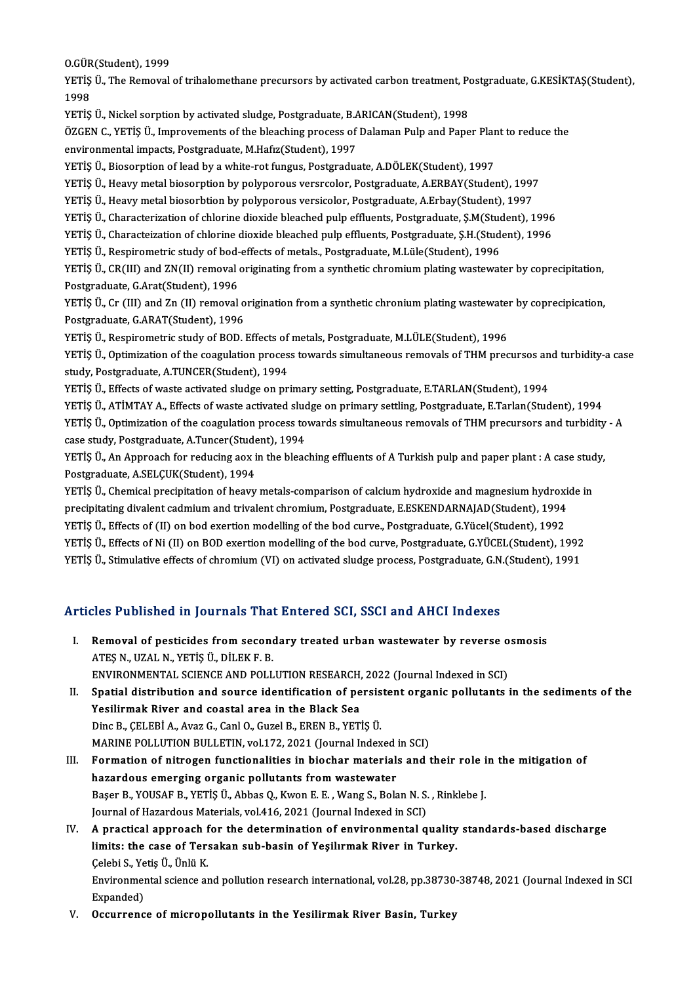o.<br>O.GÜR(Student), 1999<br>VETİS Ü. The Bemeyel

YETİŞ Ü., The Removal of trihalomethane precursors by activated carbon treatment, Postgraduate, G.KESİKTAŞ(Student),<br>1998 0.GÜR<br>YETİŞ<br>1998<br>VETİS YETİŞ Ü., The Removal of trihalomethane precursors by activated carbon treatment, Po<br>1998<br>YETİŞ Ü., Nickel sorption by activated sludge, Postgraduate, B.ARICAN(Student), 1998<br>ÖZCEN C. YETİŞ Ü. Imprevementa ef the bleashing

1998<br>YETİŞ Ü., Nickel sorption by activated sludge, Postgraduate, B.ARICAN(Student), 1998<br>ÖZGEN C., YETİŞ Ü., Improvements of the bleaching process of Dalaman Pulp and Paper Plant to reduce the<br>anviranmental impacts. Postg YETİŞ Ü., Nickel sorption by activated sludge, Postgraduate, B.A.<br>ÖZGEN C., YETİŞ Ü., Improvements of the bleaching process of<br>environmental impacts, Postgraduate, M.Hafız(Student), 1997<br>veris ü. Bioserntion of load by a v ÖZGEN C., YETİŞ Ü., Improvements of the bleaching process of Dalaman Pulp and Paper Plar<br>environmental impacts, Postgraduate, M.Hafız(Student), 1997<br>YETİŞ Ü., Biosorption of lead by a white-rot fungus, Postgraduate, A.DÖLE

environmental impacts, Postgraduate, M.Hafiz(Student), 1997<br>YETİŞ Ü., Biosorption of lead by a white-rot fungus, Postgraduate, A.DÖLEK(Student), 1997<br>YETİŞ Ü., Heavy metal biosorption by polyporous versrcolor, Postgraduate

YETİŞ Ü., Heavy metal biosorbtion by polyporous versicolor, Postgraduate, A.Erbay(Student), 1997

YETİŞ Ü., Heavy metal biosorption by polyporous versrcolor, Postgraduate, A.ERBAY(Student), 1997<br>YETİŞ Ü., Heavy metal biosorbtion by polyporous versicolor, Postgraduate, A.Erbay(Student), 1997<br>YETİŞ Ü., Characterization o YETİŞ Ü., Heavy metal biosorbtion by polyporous versicolor, Postgraduate, A.Erbay(Student), 1997<br>YETİŞ Ü., Characterization of chlorine dioxide bleached pulp effluents, Postgraduate, Ş.M(Student), 1996<br>YETİŞ Ü., Characteiz YETİŞ Ü., Characterization of chlorine dioxide bleached pulp effluents, Postgraduate, Ş.M.(Student), YETİŞ Ü., Characteization of chlorine dioxide bleached pulp effluents, Postgraduate, Ş.H.(Student), 1996<br>YETİŞ Ü., Respir

YETİŞ Ü., Characteization of chlorine dioxide bleached pulp effluents, Postgraduate, S.H.(Student), 1996<br>YETİŞ Ü., Respirometric study of bod-effects of metals., Postgraduate, M.Lüle(Student), 1996<br>YETİŞ Ü., CR(III) and ZN YETİŞ Ü., Respirometric study of bod-<br>YETİŞ Ü., CR(III) and ZN(II) removal<br>Postgraduate, G.Arat(Student), 1996<br>YETİS Ü. Gr (III) and Zn (II) removal YETİŞ Ü., CR(III) and ZN(II) removal originating from a synthetic chromium plating wastewater by coprecipitation,<br>Postgraduate, G.Arat(Student), 1996<br>YETİŞ Ü., Cr (III) and Zn (II) removal origination from a synthetic chro

Postgraduate, G.Arat(Student), 1996<br>YETİŞ Ü., Cr (III) and Zn (II) removal o<br>Postgraduate, G.ARAT(Student), 1996<br>YETİS Ü. Posnirometris studu of POD J YETİŞ Ü., Cr (III) and Zn (II) removal origination from a synthetic chronium plating wastewate:<br>Postgraduate, G.ARAT(Student), 1996<br>YETİŞ Ü., Respirometric study of BOD. Effects of metals, Postgraduate, M.LÜLE(Student), 19

Postgraduate, G.ARAT(Student), 1996<br>YETİŞ Ü., Respirometric study of BOD. Effects of metals, Postgraduate, M.LÜLE(Student), 1996<br>YETİS Ü., Optimization of the coagulation process towards simultaneous removals of THM precur study, Postgraduate, A.TUNCER(Student), 1994

YETİŞ Ü., Effects of waste activated sludge on primary setting, Postgraduate, E.TARLAN(Student), 1994

YETİŞ Ü., ATİMTAY A., Effects of waste activated sludge on primary settling, Postgraduate, E.Tarlan(Student), 1994 YETİŞ Ü., Optimization of the coagulation process towards simultaneous removals of THM precursors and turbidity - A YETİŞ Ü., ATİMTAY A., Effects of waste activated slucertiş Ü., Optimization of the coagulation process to case study, Postgraduate, A.Tuncer(Student), 1994<br>VETİŞ Ü. An Annroach for reducing aov in the blase

YETİŞ Ü., Optimization of the coagulation process towards simultaneous removals of THM precursors and turbidity<br>case study, Postgraduate, A.Tuncer(Student), 1994<br>YETİŞ Ü., An Approach for reducing aox in the bleaching effl case study, Postgraduate, A.Tuncer(Student)<br>Postgraduate, A.SELÇUK(Student), 1994<br>Postgraduate, A.SELÇUK(Student), 1994<br>VETİS Ü. Chamisal presinitation of beauv YETİŞ Ü., An Approach for reducing aox in the bleaching effluents of A Turkish pulp and paper plant : A case stud<br>Postgraduate, A.SELÇUK(Student), 1994<br>YETİŞ Ü., Chemical precipitation of heavy metals-comparison of calcium

Postgraduate, A.SELÇUK(Student), 1994<br>YETİŞ Ü., Chemical precipitation of heavy metals-comparison of calcium hydroxide and magnesium hydroxi<br>precipitating divalent cadmium and trivalent chromium, Postgraduate, E.ESKENDARNA YETİŞ Ü., Chemical precipitation of heavy metals-comparison of calcium hydroxide and magnesium hydroxi<br>precipitating divalent cadmium and trivalent chromium, Postgraduate, E.ESKENDARNAJAD(Student), 1994<br>YETİŞ Ü., Effects o precipitating divalent cadmium and trivalent chromium, Postgraduate, E.ESKENDARNAJAD(Student), 1994<br>YETİŞ Ü., Effects of (II) on bod exertion modelling of the bod curve, Postgraduate, G.Yücel(Student), 1992<br>YETİŞ Ü., Effec YETİŞ Ü., Effects of (II) on bod exertion modelling of the bod curve., Postgraduate, G.Yücel(Student), 1992<br>YETİŞ Ü., Effects of Ni (II) on BOD exertion modelling of the bod curve, Postgraduate, G.YÜCEL(Student), 1992<br>YETİ

# YETİŞ Ü., Stimulative effects of chromium (VI) on activated sludge process, Postgraduate, G.N.(Student), 1991<br>Articles Published in Journals That Entered SCI, SSCI and AHCI Indexes

rticles Published in Journals That Entered SCI, SSCI and AHCI Indexes<br>I. Removal of pesticides from secondary treated urban wastewater by reverse osmosis<br>ATES N. UZAL N. VETIS Ü. DU EK E. P. ATEŞ A BIJISHEM III JOMATIMISTAM<br>Removal of pesticides from second<br>ATEŞ N., UZAL N., YETİŞ Ü., DİLEK F. B.<br>ENVIRONMENTAL SCIENCE AND POLL Removal of pesticides from secondary treated urban wastewater by reverse o<br>ATEŞ N., UZAL N., YETİŞ Ü., DİLEK F. B.<br>ENVIRONMENTAL SCIENCE AND POLLUTION RESEARCH, 2022 (Journal Indexed in SCI)<br>Spatial distribution and sourse

ENVIRONMENTAL SCIENCE AND POLLUTION RESEARCH, 2022 (Journal Indexed in SCI)

- ATEŞ N., UZAL N., YETİŞ Ü., DİLEK F. B.<br>ENVIRONMENTAL SCIENCE AND POLLUTION RESEARCH, 2022 (Journal Indexed in SCI)<br>II. Spatial distribution and source identification of persistent organic pollutants in the sediments of th DincB.,ÇELEBİA.,AvazG.,CanlO.,GuzelB.,ERENB.,YETİŞÜ. Yesilirmak River and coastal area in the Black Sea<br>Dinc B., ÇELEBİ A., Avaz G., Canl O., Guzel B., EREN B., YETİŞ Ü.<br>MARINE POLLUTION BULLETIN, vol.172, 2021 (Journal Indexed in SCI)<br>Formation of nitrogen functionalities i Dinc B., ÇELEBİ A., Avaz G., Canl O., Guzel B., EREN B., YETİŞ Ü.<br>MARINE POLLUTION BULLETIN, vol.172, 2021 (Journal Indexed in SCI)<br>III. Formation of nitrogen functionalities in biochar materials and their role in the miti
- MARINE POLLUTION BULLETIN, vol.172, 2021 (Journal Indexed<br>Formation of nitrogen functionalities in biochar material:<br>hazardous emerging organic pollutants from wastewater<br>Peser P. VOUSAE P. VETIS (I. Abbes Q. Kuron E. E. W Formation of nitrogen functionalities in biochar materials and their role i<br>hazardous emerging organic pollutants from wastewater<br>Başer B., YOUSAF B., YETİŞ Ü., Abbas Q., Kwon E. E. , Wang S., Bolan N. S. , Rinklebe J.<br>Jou hazardous emerging organic pollutants from wastewater<br>Başer B., YOUSAF B., YETİŞ Ü., Abbas Q., Kwon E. E. , Wang S., Bolan N. S. , Rinklebe J.<br>Journal of Hazardous Materials, vol.416, 2021 (Journal Indexed in SCI)
- IV. A practical approach for the determination of environmental quality standards-based discharge Journal of Hazardous Materials, vol.416, 2021 (Journal Indexed in SCI)<br>A practical approach for the determination of environmental quality<br>limits: the case of Tersakan sub-basin of Yeşilırmak River in Turkey.<br>Celebi S. Vet A practical approach f<br>limits: the case of Ter:<br>Çelebi S., Yetiş Ü., Ünlü K.<br>Environmental science ar li<mark>mits: the case of Tersakan sub-basin of Yeşilırmak River in Turkey.</mark><br>Çelebi S., Yetiş Ü., Ünlü K.<br>Environmental science and pollution research international, vol.28, pp.38730-38748, 2021 (Journal Indexed in SCI

Celebi S., Ye<br>Environmer<br>Expanded)<br>Osaunnens Environmental science and pollution research international, vol.28, pp.38730<br>Expanded)<br>V. Occurrence of micropollutants in the Yesilirmak River Basin, Turkey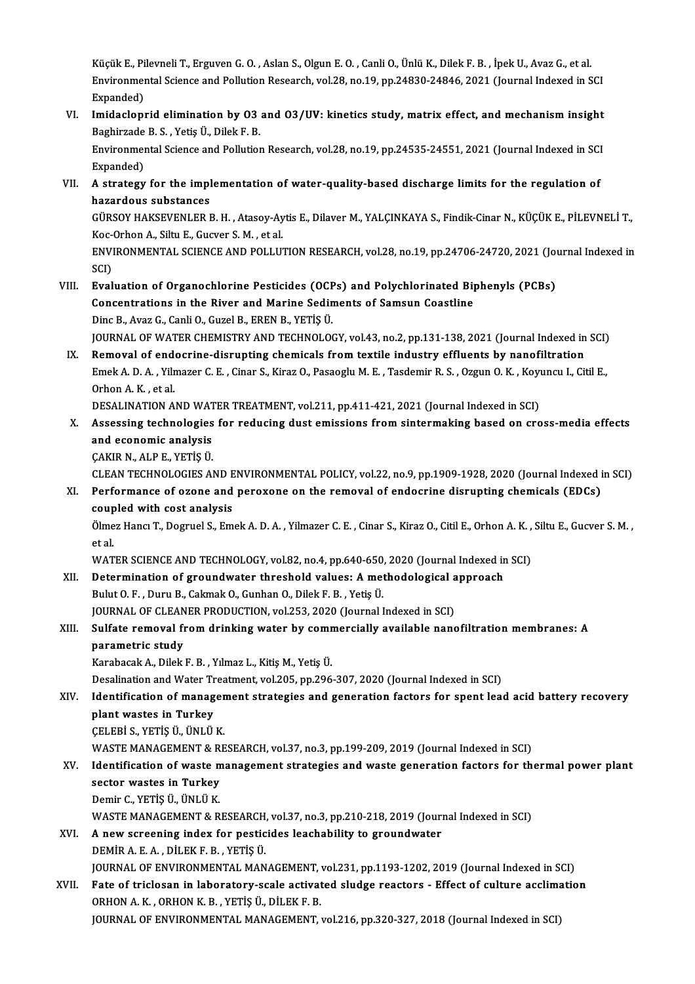Küçük E., Pilevneli T., Erguven G. O. , Aslan S., Olgun E. O. , Canli O., Ünlü K., Dilek F. B. , İpek U., Avaz G., et al.<br>Environmental Science and Pollution Besearch, val 38, no 10, np 34830, 34846, 3031 (Journal Indoved Küçük E., Pilevneli T., Erguven G. O. , Aslan S., Olgun E. O. , Canli O., Ünlü K., Dilek F. B. , İpek U., Avaz G., et al.<br>Environmental Science and Pollution Research, vol.28, no.19, pp.24830-24846, 2021 (Journal Indexed i Küçük E., Pi<br>Environmer<br>Expanded)<br>Imidaeları Environmental Science and Pollution Research, vol.28, no.19, pp.24830-24846, 2021 (Journal Indexed in SCI<br>Expanded)<br>VI. Imidacloprid elimination by O3 and O3/UV: kinetics study, matrix effect, and mechanism insight<br>Bechive

- Expanded)<br>Imidacloprid elimination by 03<br>Baghirzade B. S. , Yetiş Ü., Dilek F. B.<br>Environmental Science and Pollution Imidacloprid elimination by 03 and 03/UV: kinetics study, matrix effect, and mechanism insight<br>Baghirzade B. S. , Yetiş Ü., Dilek F. B.<br>Environmental Science and Pollution Research, vol.28, no.19, pp.24535-24551, 2021 (Jou Baghirzade B. S. , Yetiş Ü., Dilek F. B.<br>Environmental Science and Pollution Research, vol.28, no.19, pp.24535-24551, 2021 (Journal Indexed in SCI<br>Expanded)
- Environmental Science and Pollution Research, vol.28, no.19, pp.24535-24551, 2021 (Journal Indexed in SCI<br>Expanded)<br>VII. A strategy for the implementation of water-quality-based discharge limits for the regulation of<br>harar Expanded)<br>A strategy for the impl<br>hazardous substances<br>CÜRSOV HAKERVENLER I A strategy for the implementation of water-quality-based discharge limits for the regulation of<br>hazardous substances<br>GÜRSOY HAKSEVENLER B. H. , Atasoy-Aytis E., Dilaver M., YALÇINKAYA S., Findik-Cinar N., KÜÇÜK E., PİLEVNE

hazardous substances<br>GÜRSOY HAKSEVENLER B. H. , Atasoy-Ay<br>Koc-Orhon A., Siltu E., Gucver S. M. , et al.<br>ENWIRONMENTAL SCIENCE AND POLLU' GÜRSOY HAKSEVENLER B. H. , Atasoy-Aytis E., Dilaver M., YALÇINKAYA S., Findik-Cinar N., KÜÇÜK E., PİLEVNELİ T.,<br>Koc-Orhon A., Siltu E., Gucver S. M. , et al.<br>ENVIRONMENTAL SCIENCE AND POLLUTION RESEARCH, vol.28, no.19, pp.

Koc-Orhon A., Siltu E., Gucver S. M. , et al.<br>ENVIRONMENTAL SCIENCE AND POLLUTION RESEARCH, vol.28, no.19, pp.24706-24720, 2021 (Journal Indexed in<br>SCI) ENVIRONMENTAL SCIENCE AND POLLUTION RESEARCH, vol.28, no.19, pp.24706-24720, 2021 (Journal SCI)<br>SCI)<br>VIII. Evaluation of Organochlorine Pesticides (OCPs) and Polychlorinated Biphenyls (PCBs)

SCI)<br>Evaluation of Organochlorine Pesticides (OCPs) and Polychlorinated Bi<sub>l</sub><br>Concentrations in the River and Marine Sediments of Samsun Coastline<br>Pine B. Aver C. Capli O. Curel B. EDEN B. VETIS (I Evaluation of Organochlorine Pesticides (OCF<br>Concentrations in the River and Marine Sedin<br>Dinc B., Avaz G., Canli O., Guzel B., EREN B., YETİŞ Ü.<br>JOUPMAL OE WATER CHEMISTRY AND TECHNOLOG Concentrations in the River and Marine Sediments of Samsun Coastline<br>Dinc B., Avaz G., Canli O., Guzel B., EREN B., YETİŞ Ü.<br>JOURNAL OF WATER CHEMISTRY AND TECHNOLOGY, vol.43, no.2, pp.131-138, 2021 (Journal Indexed in SCI

Dinc B., Avaz G., Canli O., Guzel B., EREN B., YETİŞ Ü.<br>JOURNAL OF WATER CHEMISTRY AND TECHNOLOGY, vol.43, no.2, pp.131-138, 2021 (Journal Indexed in<br>IX. Removal of endocrine-disrupting chemicals from textile industry effl JOURNAL OF WATER CHEMISTRY AND TECHNOLOGY, vol.43, no.2, pp.131-138, 2021 (Journal Indexed in SCI)<br>Removal of endocrine-disrupting chemicals from textile industry effluents by nanofiltration<br>Emek A. D. A. , Yilmazer C. E. Removal of end<br>Emek A. D. A. , Yilr<br>Orhon A. K. , et al.<br>DESALINATION A Emek A. D. A. , Yilmazer C. E. , Cinar S., Kiraz O., Pasaoglu M. E. , Tasdemir R. S. , Ozgun O. K. , Koyu<br>Orhon A. K. , et al.<br>DESALINATION AND WATER TREATMENT, vol.211, pp.411-421, 2021 (Journal Indexed in SCI)<br>Assossing Orhon A. K. , et al.<br>DESALINATION AND WATER TREATMENT, vol.211, pp.411-421, 2021 (Journal Indexed in SCI)<br>X. Assessing technologies for reducing dust emissions from sintermaking based on cross-media effects

and economic analysis and economic analysis<br>ÇAKIR N., ALP E., YETİŞ Ü.<br>CLEAN TECHNOLOGIES AND ENVIRONMENTAL POLICY, vol.22, no.9, pp.1909-1928, 2020 (Journal Indexed in SCI)<br>Performance of esone and persyone an the remeval of endesrine disrunti

ÇAKIRN.,ALPE.,YETİŞÜ.

CAKIR N., ALP E., YETİŞ Ü.<br>CLEAN TECHNOLOGIES AND ENVIRONMENTAL POLICY, vol.22, no.9, pp.1909-1928, 2020 (Journal Indexed i<br>XI. Performance of ozone and peroxone on the removal of endocrine disrupting chemicals (EDCs)<br>coup CLEAN TECHNOLOGIES AND E<br>Performance of ozone and<br>coupled with cost analysis<br>Olmez Hong T. Degruel S. Em Performance of ozone and peroxone on the removal of endocrine disrupting chemicals (EDCs)<br>coupled with cost analysis<br>Ölmez Hancı T., Dogruel S., Emek A. D. A. , Yilmazer C. E. , Cinar S., Kiraz O., Citil E., Orhon A. K. ,

coupled with cost analysis<br>Ölmez Hancı T., Dogruel S., Em<br>et al. Ölmez Hancı T., Dogruel S., Emek A. D. A. , Yilmazer C. E. , Cinar S., Kiraz O., Citil E., Orhon A. K. ,<br>et al.<br>WATER SCIENCE AND TECHNOLOGY, vol.82, no.4, pp.640-650, 2020 (Journal Indexed in SCI)<br>Determination of groundw

WATER SCIENCE AND TECHNOLOGY, vol.82, no.4, pp.640-650, 2020 (Journal Indexed in SCI)<br>XII. Determination of groundwater threshold values: A methodological approach

Bulut O.F., Duru B., Cakmak O., Gunhan O., Dilek F.B., Yetiş Ü. Determination of groundwater threshold values: A methodological a<br>Bulut O. F. , Duru B., Cakmak O., Gunhan O., Dilek F. B. , Yetiş Ü.<br>JOURNAL OF CLEANER PRODUCTION, vol.253, 2020 (Journal Indexed in SCI)<br>Sulfate remeval fr

## Bulut O. F. , Duru B., Cakmak O., Gunhan O., Dilek F. B. , Yetiş Ü.<br>JOURNAL OF CLEANER PRODUCTION, vol.253, 2020 (Journal Indexed in SCI)<br>XIII. Sulfate removal from drinking water by commercially available nanofiltrati **JOURNAL OF CLEAN<br>Sulfate removal fi<br>parametric study<br>Karabasak A. Dilaki** Sulfate removal from drinking water by comr<br>parametric study<br>Karabacak A., Dilek F. B. , Yılmaz L., Kitiş M., Yetiş Ü.<br>Deselination and Water Treatment val 205. np 206 parametric study<br>Karabacak A., Dilek F. B. , Yılmaz L., Kitiş M., Yetiş Ü.<br>Desalination and Water Treatment, vol.205, pp.296-307, 2020 (Journal Indexed in SCI)

## Karabacak A., Dilek F. B. , Yılmaz L., Kitiş M., Yetiş Ü.<br>Desalination and Water Treatment, vol.205, pp.296-307, 2020 (Journal Indexed in SCI)<br>XIV. Identification of management strategies and generation factors for spe **Desalination and Water Tr<br>Identification of manag<br>plant wastes in Turkey<br>CELEPIS - VETIS ÜLÜNUÜ Identification of manager<br>plant wastes in Turkey<br>ÇELEBİ S., YETİŞ Ü., ÜNLÜ K.<br>WASTE MANAÇEMENT & PE** plant wastes in Turkey<br>ÇELEBİ S., YETİŞ Ü., ÜNLÜ K.<br>WASTE MANAGEMENT & RESEARCH, vol.37, no.3, pp.199-209, 2019 (Journal Indexed in SCI)<br>Identification of waste management strategies and waste generation fasters for th

## CELEBİ S., YETİŞ Ü., ÜNLÜ K.<br>WASTE MANAGEMENT & RESEARCH, vol.37, no.3, pp.199-209, 2019 (Journal Indexed in SCI)<br>XV. Identification of waste management strategies and waste generation factors for thermal power plant<br>s WASTE MANAGEMENT & R.<br>Identification of waste m<br>sector wastes in Turkey<br>Domir G. VETIS (I. UNI II K

Demir C.,YETİŞÜ.,ÜNLÜK.

WASTE MANAGEMENT & RESEARCH, vol.37, no.3, pp.210-218, 2019 (Journal Indexed in SCI)

## XVI. A newscreening index for pesticides leachability to groundwater DEMİRA.E.A. ,DİLEKF.B. ,YETİŞÜ. A new screening index for pesticides leachability to groundwater<br>DEMİR A. E. A. , DİLEK F. B. , YETİŞ Ü.<br>JOURNAL OF ENVIRONMENTAL MANAGEMENT, vol.231, pp.1193-1202, 2019 (Journal Indexed in SCI)<br>Fate of trialecen in labora

## DEMIR A. E. A. , DILEK F. B. , YETIŞ Ü.<br>JOURNAL OF ENVIRONMENTAL MANAGEMENT, vol.231, pp.1193-1202, 2019 (Journal Indexed in SCI)<br>XVII. Fate of triclosan in laboratory-scale activated sludge reactors - Effect of culture ac JOURNAL OF ENVIRONMENTAL MANAGEMENT,<br>Fate of triclosan in laboratory-scale activat<br>ORHON A. K. , ORHON K. B. , YETİŞ Ü., DİLEK F. B.<br>JOURNAL OF ENVIRONMENTAL MANACEMENT : Fate of triclosan in laboratory-scale activated sludge reactors - Effect of culture acclimation<br>ORHON A. K., ORHON K. B., YETİŞ Ü., DİLEK F. B.<br>JOURNAL OF ENVIRONMENTAL MANAGEMENT, vol.216, pp.320-327, 2018 (Journal Indexe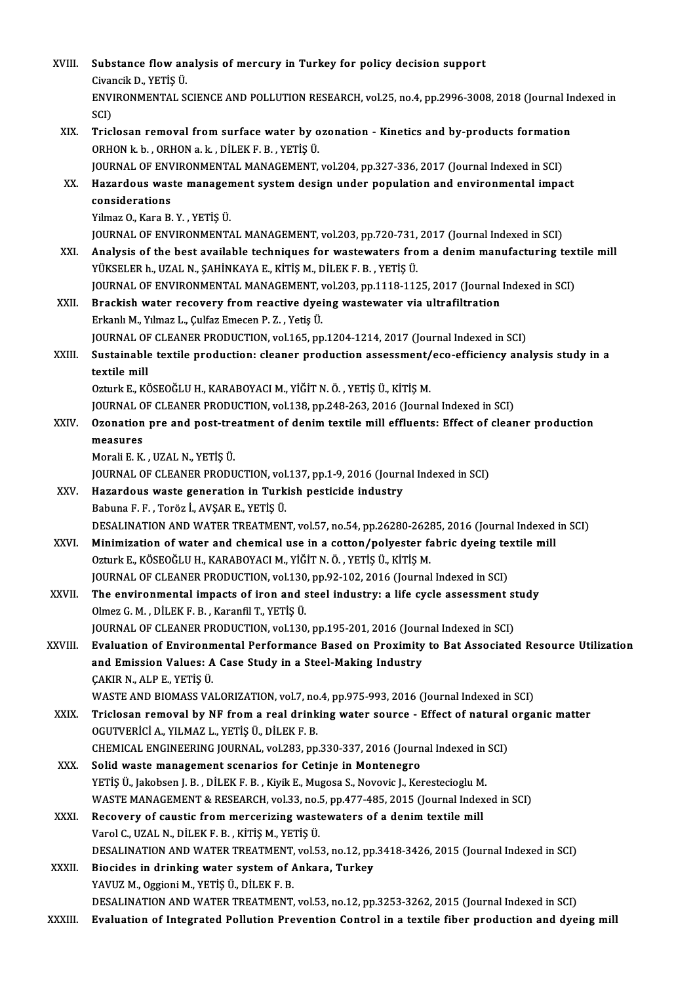| XVIII.  | Substance flow analysis of mercury in Turkey for policy decision support                                                                                          |
|---------|-------------------------------------------------------------------------------------------------------------------------------------------------------------------|
|         | Civancik D, YETIŞ Ü                                                                                                                                               |
|         | ENVIRONMENTAL SCIENCE AND POLLUTION RESEARCH, vol.25, no.4, pp.2996-3008, 2018 (Journal Indexed in                                                                |
|         | SCI)                                                                                                                                                              |
| XIX.    | Triclosan removal from surface water by ozonation - Kinetics and by-products formation                                                                            |
|         | ORHON k b , ORHON a k , DİLEK F. B , YETİŞ Ü.<br>JOURNAL OF ENVIRONMENTAL MANAGEMENT, vol.204, pp.327-336, 2017 (Journal Indexed in SCI)                          |
| XX.     | Hazardous waste management system design under population and environmental impact                                                                                |
|         | considerations                                                                                                                                                    |
|         | Yilmaz O., Kara B. Y., YETİŞ Ü.                                                                                                                                   |
|         | JOURNAL OF ENVIRONMENTAL MANAGEMENT, vol.203, pp.720-731, 2017 (Journal Indexed in SCI)                                                                           |
| XXI.    | Analysis of the best available techniques for wastewaters from a denim manufacturing textile mill                                                                 |
|         | YÜKSELER h., UZAL N., ŞAHİNKAYA E., KİTİŞ M., DİLEK F. B., YETİŞ Ü.                                                                                               |
|         | JOURNAL OF ENVIRONMENTAL MANAGEMENT, vol.203, pp.1118-1125, 2017 (Journal Indexed in SCI)                                                                         |
| XXII.   | Brackish water recovery from reactive dyeing wastewater via ultrafiltration                                                                                       |
|         | Erkanlı M., Yılmaz L., Çulfaz Emecen P.Z., Yetiş Ü.                                                                                                               |
|         | JOURNAL OF CLEANER PRODUCTION, vol.165, pp.1204-1214, 2017 (Journal Indexed in SCI)                                                                               |
| XXIII.  | Sustainable textile production: cleaner production assessment/eco-efficiency analysis study in a<br>textile mill                                                  |
|         | Ozturk E., KÖSEOĞLU H., KARABOYACI M., YİĞİT N. Ö., YETİŞ Ü., KİTİŞ M.                                                                                            |
|         | JOURNAL OF CLEANER PRODUCTION, vol.138, pp.248-263, 2016 (Journal Indexed in SCI)                                                                                 |
| XXIV.   | Ozonation pre and post-treatment of denim textile mill effluents: Effect of cleaner production                                                                    |
|         | measures                                                                                                                                                          |
|         | Morali E. K., UZAL N., YETİŞ Ü.                                                                                                                                   |
|         | JOURNAL OF CLEANER PRODUCTION, vol.137, pp.1-9, 2016 (Journal Indexed in SCI)                                                                                     |
| XXV     | Hazardous waste generation in Turkish pesticide industry                                                                                                          |
|         | Babuna F. F., Toröz İ., AVŞAR E., YETİŞ Ü.                                                                                                                        |
|         | DESALINATION AND WATER TREATMENT, vol.57, no.54, pp.26280-26285, 2016 (Journal Indexed in SCI)                                                                    |
| XXVI.   | Minimization of water and chemical use in a cotton/polyester fabric dyeing textile mill<br>Ozturk E., KÖSEOĞLU H., KARABOYACI M., YİĞİT N. Ö., YETİŞ Ü., KİTİŞ M. |
|         | JOURNAL OF CLEANER PRODUCTION, vol.130, pp.92-102, 2016 (Journal Indexed in SCI)                                                                                  |
| XXVII.  | The environmental impacts of iron and steel industry: a life cycle assessment study                                                                               |
|         | Olmez G. M., DİLEK F. B., Karanfil T., YETİŞ Ü.                                                                                                                   |
|         | JOURNAL OF CLEANER PRODUCTION, vol.130, pp.195-201, 2016 (Journal Indexed in SCI)                                                                                 |
| XXVIII. | Evaluation of Environmental Performance Based on Proximity to Bat Associated Resource Utilization                                                                 |
|         | and Emission Values: A Case Study in a Steel-Making Industry                                                                                                      |
|         | ÇAKIR N., ALP E., YETİŞ Ü.                                                                                                                                        |
|         | WASTE AND BIOMASS VALORIZATION, vol.7, no.4, pp.975-993, 2016 (Journal Indexed in SCI)                                                                            |
| XXIX.   | Triclosan removal by NF from a real drinking water source - Effect of natural organic matter                                                                      |
|         | OGUTVERİCİ A., YILMAZ L., YETİŞ Ü., DİLEK F. B.                                                                                                                   |
| XXX.    | CHEMICAL ENGINEERING JOURNAL, vol.283, pp.330-337, 2016 (Journal Indexed in SCI)<br>Solid waste management scenarios for Cetinje in Montenegro                    |
|         | YETİŞ Ü., Jakobsen J. B., DİLEK F. B., Kiyik E., Mugosa S., Novovic J., Kerestecioglu M.                                                                          |
|         | WASTE MANAGEMENT & RESEARCH, vol.33, no.5, pp.477-485, 2015 (Journal Indexed in SCI)                                                                              |
| XXXI.   | Recovery of caustic from mercerizing wastewaters of a denim textile mill                                                                                          |
|         | Varol C., UZAL N., DİLEK F. B., KİTİŞ M., YETİŞ Ü.                                                                                                                |
|         | DESALINATION AND WATER TREATMENT, vol.53, no.12, pp.3418-3426, 2015 (Journal Indexed in SCI)                                                                      |
| XXXII.  | Biocides in drinking water system of Ankara, Turkey                                                                                                               |
|         | YAVUZ M., Oggioni M., YETİŞ Ü., DİLEK F. B.                                                                                                                       |
|         | DESALINATION AND WATER TREATMENT, vol.53, no.12, pp.3253-3262, 2015 (Journal Indexed in SCI)                                                                      |
| XXXIII. | Evaluation of Integrated Pollution Prevention Control in a textile fiber production and dyeing mill                                                               |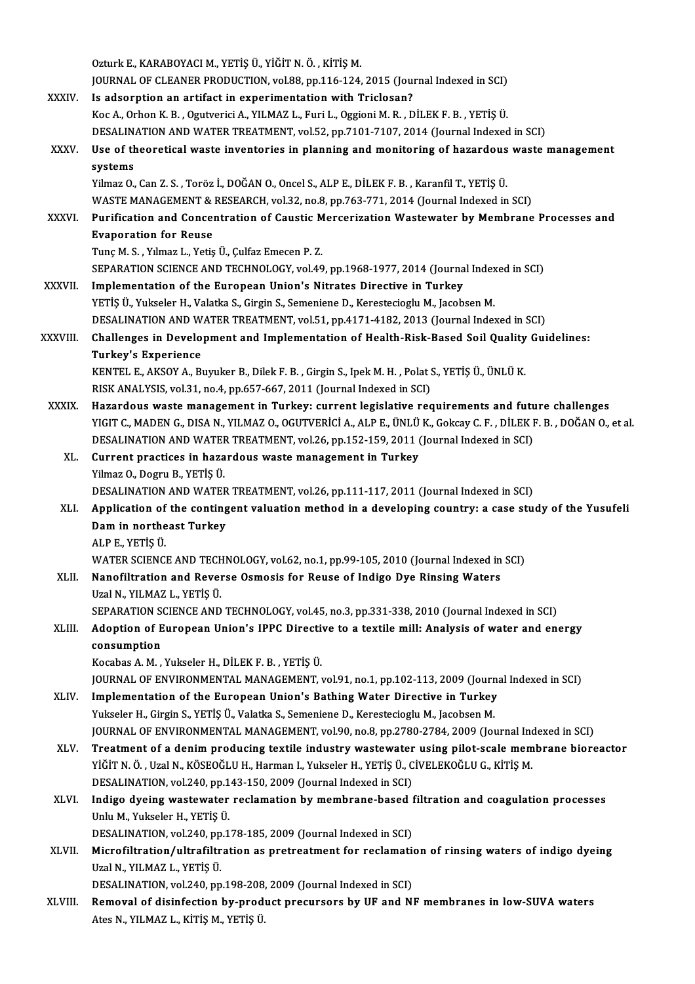|               | Ozturk E., KARABOYACI M., YETİŞ Ü., YİĞİT N. Ö. , KİTİŞ M.                                                               |
|---------------|--------------------------------------------------------------------------------------------------------------------------|
|               | JOURNAL OF CLEANER PRODUCTION, vol.88, pp.116-124, 2015 (Journal Indexed in SCI)                                         |
| XXXIV.        | Is adsorption an artifact in experimentation with Triclosan?                                                             |
|               | Koc A., Orhon K. B., Ogutverici A., YILMAZ L., Furi L., Oggioni M. R., DİLEK F. B., YETİŞ Ü.                             |
|               | DESALINATION AND WATER TREATMENT, vol.52, pp.7101-7107, 2014 (Journal Indexed in SCI)                                    |
| XXXV.         | Use of theoretical waste inventories in planning and monitoring of hazardous waste management<br>systems                 |
|               | Yilmaz O., Can Z. S., Toröz İ., DOĞAN O., Oncel S., ALP E., DİLEK F. B., Karanfil T., YETİŞ Ü.                           |
|               | WASTE MANAGEMENT & RESEARCH, vol.32, no.8, pp.763-771, 2014 (Journal Indexed in SCI)                                     |
| <b>XXXVI</b>  | Purification and Concentration of Caustic Mercerization Wastewater by Membrane Processes and                             |
|               | <b>Evaporation for Reuse</b>                                                                                             |
|               | Tunç M. S., Yılmaz L., Yetiş Ü., Çulfaz Emecen P. Z.                                                                     |
|               | SEPARATION SCIENCE AND TECHNOLOGY, vol.49, pp.1968-1977, 2014 (Journal Indexed in SCI)                                   |
| <b>XXXVII</b> | Implementation of the European Union's Nitrates Directive in Turkey                                                      |
|               | YETİŞ Ü., Yukseler H., Valatka S., Girgin S., Semeniene D., Kerestecioglu M., Jacobsen M.                                |
|               | DESALINATION AND WATER TREATMENT, vol.51, pp.4171-4182, 2013 (Journal Indexed in SCI)                                    |
| XXXVIII.      | Challenges in Development and Implementation of Health-Risk-Based Soil Quality Guidelines:<br><b>Turkey's Experience</b> |
|               | KENTEL E., AKSOY A., Buyuker B., Dilek F. B. , Girgin S., Ipek M. H. , Polat S., YETİŞ Ü., ÜNLÜ K.                       |
|               | RISK ANALYSIS, vol.31, no.4, pp.657-667, 2011 (Journal Indexed in SCI)                                                   |
| <b>XXXIX</b>  | Hazardous waste management in Turkey: current legislative requirements and future challenges                             |
|               | YIGIT C., MADEN G., DISA N., YILMAZ O., OGUTVERICI A., ALP E., ÜNLÜ K., Gokcay C. F., DILEK F. B., DOĞAN O., et al.      |
|               | DESALINATION AND WATER TREATMENT, vol.26, pp.152-159, 2011 (Journal Indexed in SCI)                                      |
| XL.           | Current practices in hazardous waste management in Turkey                                                                |
|               | Yilmaz O., Dogru B., YETİŞ Ü.                                                                                            |
|               | DESALINATION AND WATER TREATMENT, vol.26, pp.111-117, 2011 (Journal Indexed in SCI)                                      |
| XLI.          | Application of the contingent valuation method in a developing country: a case study of the Yusufeli                     |
|               | Dam in northeast Turkey                                                                                                  |
|               | ALP E , YETİŞ Ü                                                                                                          |
|               | WATER SCIENCE AND TECHNOLOGY, vol.62, no.1, pp.99-105, 2010 (Journal Indexed in SCI)                                     |
| XLII.         | Nanofiltration and Reverse Osmosis for Reuse of Indigo Dye Rinsing Waters<br>Uzal N., YILMAZ L., YETİŞ Ü.                |
|               | SEPARATION SCIENCE AND TECHNOLOGY, vol.45, no.3, pp.331-338, 2010 (Journal Indexed in SCI)                               |
| XLIII.        | Adoption of European Union's IPPC Directive to a textile mill: Analysis of water and energy                              |
|               | consumption                                                                                                              |
|               | Kocabas A. M., Yukseler H., DİLEK F. B., YETİŞ Ü.                                                                        |
|               | JOURNAL OF ENVIRONMENTAL MANAGEMENT, vol.91, no.1, pp.102-113, 2009 (Journal Indexed in SCI)                             |
| XLIV.         | Implementation of the European Union's Bathing Water Directive in Turkey                                                 |
|               | Yukseler H., Girgin S., YETİŞ Ü., Valatka S., Semeniene D., Kerestecioglu M., Jacobsen M.                                |
|               | JOURNAL OF ENVIRONMENTAL MANAGEMENT, vol.90, no.8, pp.2780-2784, 2009 (Journal Indexed in SCI)                           |
| XLV.          | Treatment of a denim producing textile industry wastewater using pilot-scale membrane bioreactor                         |
|               | YİĞİT N. Ö., Uzal N., KÖSEOĞLU H., Harman I., Yukseler H., YETİŞ Ü., CİVELEKOĞLU G., KİTİŞ M.                            |
|               | DESALINATION, vol.240, pp.143-150, 2009 (Journal Indexed in SCI)                                                         |
| XLVI.         | Indigo dyeing wastewater reclamation by membrane-based filtration and coagulation processes                              |
|               | Unlu M., Yukseler H., YETİŞ Ü.                                                                                           |
|               | DESALINATION, vol.240, pp.178-185, 2009 (Journal Indexed in SCI)                                                         |
| XLVII.        | Microfiltration/ultrafiltration as pretreatment for reclamation of rinsing waters of indigo dyeing                       |
|               | Uzal N., YILMAZ L., YETİŞ Ü.                                                                                             |
|               | DESALINATION, vol.240, pp.198-208, 2009 (Journal Indexed in SCI)                                                         |
| XLVIII.       | Removal of disinfection by-product precursors by UF and NF membranes in low-SUVA waters                                  |
|               | Ates N., YILMAZ L., KİTİŞ M., YETİŞ Ü.                                                                                   |
|               |                                                                                                                          |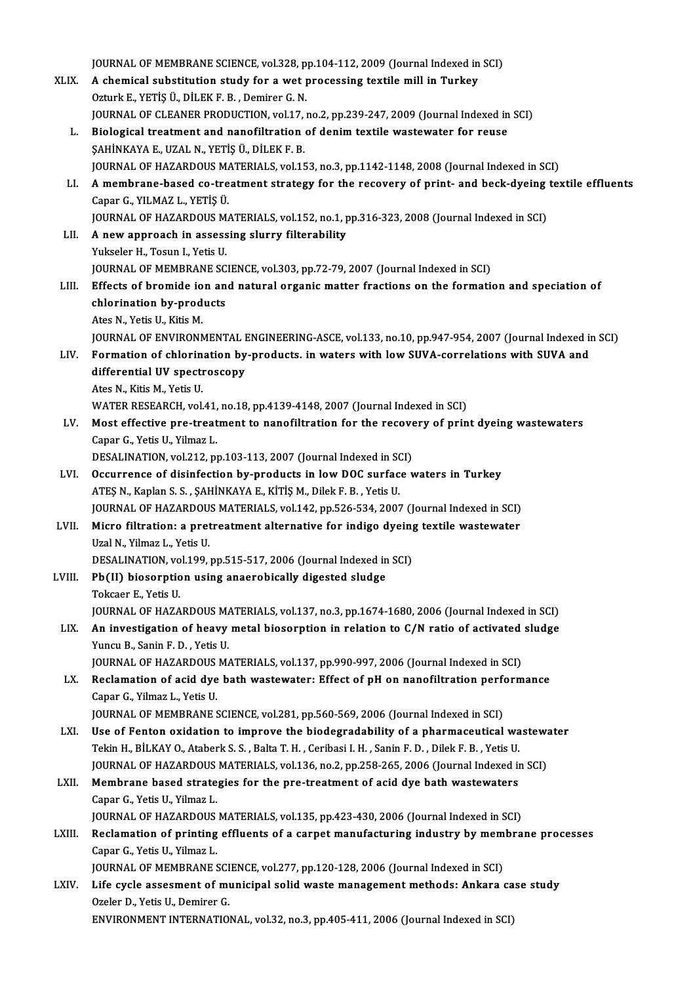JOURNAL OF MEMBRANE SCIENCE, vol.328, pp.104-112, 2009 (Journal Indexed in SCI)<br>A shamisal substitution study for a wet prosessing toytile mill in Turkey JOURNAL OF MEMBRANE SCIENCE, vol.328, pp.104-112, 2009 (Journal Indexed in<br>XLIX. A chemical substitution study for a wet processing textile mill in Turkey JOURNAL OF MEMBRANE SCIENCE, vol.328, p.<br>A chemical substitution study for a wet p.<br>Ozturk E., YETİŞ Ü., DİLEK F. B. , Demirer G. N.<br>JOURNAL OF CLEANER PRODUCTION vol.17 A chemical substitution study for a wet processing textile mill in Turkey<br>Ozturk E., YETİŞ Ü., DİLEK F. B. , Demirer G. N.<br>JOURNAL OF CLEANER PRODUCTION, vol.17, no.2, pp.239-247, 2009 (Journal Indexed in SCI) L. Biological treatment and nanofiltration of denim textile wastewater for reuse ŞAHİNKAYAE.,UZALN.,YETİŞÜ.,DİLEKF.B. Biological treatment and nanofiltration of denim textile wastewater for reuse<br>SAHİNKAYA E., UZAL N., YETİŞ Ü., DİLEK F. B.<br>JOURNAL OF HAZARDOUS MATERIALS, vol.153, no.3, pp.1142-1148, 2008 (Journal Indexed in SCI)<br>A membra LI. A membrane-based co-treatment strategy for the recovery of print- and beck-dyeing textile effluents<br>Capar G., YILMAZ L., YETIS Ü. **JOURNAL OF HAZARDOUS M/<br>A membrane-based co-tre<br>Capar G., YILMAZ L., YETİŞ Ü.<br>JOUPNAL OF HAZARDOUS M** A membrane-based co-treatment strategy for the recovery of print- and beck-dyeing<br>Capar G., YILMAZ L., YETİŞ Ü.<br>JOURNAL OF HAZARDOUS MATERIALS, vol.152, no.1, pp.316-323, 2008 (Journal Indexed in SCI)<br>A new annroach in ass LII. A new approach in assessing slurry filterability<br>Yukseler H., Tosun I., Yetis U. **JOURNAL OF HAZARDOUS M.<br>A new approach in assess<br>Yukseler H., Tosun I., Yetis U.**<br>JOUPNAL OF MEMPRANE SC JOURNAL OF MEMBRANE SCIENCE, vol.303, pp.72-79, 2007 (Journal Indexed in SCI) Yukseler H., Tosun I., Yetis U.<br>JOURNAL OF MEMBRANE SCIENCE, vol.303, pp.72-79, 2007 (Journal Indexed in SCI)<br>LIII. Effects of bromide ion and natural organic matter fractions on the formation and speciation of JOURNAL OF MEMBRANE SC<br>Effects of bromide ion an<br>chlorination by-products<br>Ates N. Yetis H. Kitie M Effects of bromide io<br>chlorination by-prod<br>Ates N., Yetis U., Kitis M.<br>JOUPMAL OF ENVIRONA chlorination by-products<br>Ates N., Yetis U., Kitis M.<br>JOURNAL OF ENVIRONMENTAL ENGINEERING-ASCE, vol.133, no.10, pp.947-954, 2007 (Journal Indexed in SCI) Ates N., Yetis U., Kitis M.<br>JOURNAL OF ENVIRONMENTAL ENGINEERING-ASCE, vol.133, no.10, pp.947-954, 2007 (Journal Indexed in UV.<br>LIV. Formation of chlorination by-products. in waters with low SUVA-correlations with SUVA and JOURNAL OF ENVIRONMENTAL I<br>Formation of chlorination by<br>differential UV spectroscopy **Formation of chlorin<br>differential UV specti<br>Ates N., Kitis M., Yetis U.<br>WATED DESEARCH vol.** differential UV spectroscopy<br>Ates N., Kitis M., Yetis U.<br>WATER RESEARCH, vol.41, no.18, pp.4139-4148, 2007 (Journal Indexed in SCI)<br>Mest effective are treatment to annefiltration for the researcy of aria Ates N., Kitis M., Yetis U.<br>WATER RESEARCH, vol.41, no.18, pp.4139-4148, 2007 (Journal Indexed in SCI)<br>LV. Most effective pre-treatment to nanofiltration for the recovery of print dyeing wastewaters<br>Capar G., Yetis U., Yil WATER RESEARCH, vol.41,<br>Most effective pre-treat<br>Capar G., Yetis U., Yilmaz L.<br>DESALINATION, vol.212, pr Most effective pre-treatment to nanofiltration for the recove<br>Capar G., Yetis U., Yilmaz L.<br>DESALINATION, vol.212, pp.103-113, 2007 (Journal Indexed in SCI)<br>Occurrence of disinfection by products in low DOC surface v LVI. Occurrence of disinfection by-products in low DOC surface waters in Turkey<br>ATES N., Kaplan S. S., SAHINKAYA E., KITIS M., Dilek F. B., Yetis U. DESALINATION, vol.212, pp.103-113, 2007 (Journal Indexed in SC<br>Occurrence of disinfection by-products in low DOC surfac<br>ATEŞ N., Kaplan S. S. , ŞAHİNKAYA E., KİTİŞ M., Dilek F. B. , Yetis U.<br>JOURNAL OF HAZARDOUS MATERIALS, Occurrence of disinfection by-products in low DOC surface waters in Turkey<br>ATEŞ N., Kaplan S. S. , ŞAHİNKAYA E., KİTİŞ M., Dilek F. B. , Yetis U.<br>JOURNAL OF HAZARDOUS MATERIALS, vol.142, pp.526-534, 2007 (Journal Indexed i ATEŞ N., Kaplan S. S. , ŞAHİNKAYA E., KİTİŞ M., Dilek F. B. , Yetis U.<br>JOURNAL OF HAZARDOUS MATERIALS, vol.142, pp.526-534, 2007 (Journal Indexed in SCI)<br>LVII. Micro filtration: a pretreatment alternative for indigo dyeing UzalN.,YilmazL.,YetisU. Micro filtration: a pretreatment alternative for indigo dyeing textile wastewater LVIII. Pb(II) biosorption using anaerobically digested sludge<br>Tokcaer E., Yetis U. DESALINATION, vol.199, pp.515-517, 2006 (Journal Indexed in SCI) Pb(II) biosorption using anaerobically digested sludge<br>Tokcaer E., Yetis U.<br>JOURNAL OF HAZARDOUS MATERIALS, vol.137, no.3, pp.1674-1680, 2006 (Journal Indexed in SCI)<br>An investigation of beauv metal biosonntion in relation Tokcaer E., Yetis U.<br>JOURNAL OF HAZARDOUS MATERIALS, vol.137, no.3, pp.1674-1680, 2006 (Journal Indexed in SCI)<br>LIX. An investigation of heavy metal biosorption in relation to C/N ratio of activated sludge<br>Vingu B. Sonin E Yuncu B., Sanin F. D., Yetis U. LIX. An investigation of heavy metal biosorption in relation to C/N ratio of activated sludge Yuncu B., Sanin F. D. , Yetis U.<br>JOURNAL OF HAZARDOUS MATERIALS, vol.137, pp.990-997, 2006 (Journal Indexed in SCI)<br>LX. Reclamation of acid dye bath wastewater: Effect of pH on nanofiltration performance<br>Capar C. Vilmar L. JOURNAL OF HAZARDOUS MATERIALS, vol.137, pp.990-997, 2006 (Journal Indexed in SCI)<br>Reclamation of acid dye bath wastewater: Effect of pH on nanofiltration perform<br>Capar G., Yilmaz L., Yetis U.<br>JOURNAL OF MEMBRANE SCIENCE, Reclamation of acid dye bath wastewater: Effect of pH on nanofiltration perf<br>Capar G., Yilmaz L., Yetis U.<br>JOURNAL OF MEMBRANE SCIENCE, vol.281, pp.560-569, 2006 (Journal Indexed in SCI)<br>Use of Fonton exidation to improve LXI. Use of Fenton oxidation to improve the biodegradability of a pharmaceutical wastewater JOURNAL OF MEMBRANE SCIENCE, vol.281, pp.560-569, 2006 (Journal Indexed in SCI)<br>Use of Fenton oxidation to improve the biodegradability of a pharmaceutical wa<br>Tekin H., BİLKAY O., Ataberk S. S. , Balta T. H. , Ceribasi I. Use of Fenton oxidation to improve the biodegradability of a pharmaceutical wastew:<br>Tekin H., BİLKAY O., Ataberk S. S. , Balta T. H. , Ceribasi I. H. , Sanin F. D. , Dilek F. B. , Yetis U.<br>JOURNAL OF HAZARDOUS MATERIALS, v Tekin H., BİLKAY 0., Ataberk S. S. , Balta T. H. , Ceribasi I. H. , Sanin F. D. , Dilek F. B. , Yetis U.<br>JOURNAL OF HAZARDOUS MATERIALS, vol.136, no.2, pp.258-265, 2006 (Journal Indexed in LXII. Membrane based strategies f **JOURNAL OF HAZARDOUS<br>Membrane based strate<br>Capar G., Yetis U., Yilmaz L.<br>JOUPNAL OF HAZARDOUS** Membrane based strategies for the pre-treatment of acid dye bath wastewaters<br>Capar G., Yetis U., Yilmaz L.<br>JOURNAL OF HAZARDOUS MATERIALS, vol.135, pp.423-430, 2006 (Journal Indexed in SCI)<br>Reclamation of printing effluent Capar G., Yetis U., Yilmaz L.<br>JOURNAL OF HAZARDOUS MATERIALS, vol.135, pp.423-430, 2006 (Journal Indexed in SCI)<br>LXIII. Reclamation of printing effluents of a carpet manufacturing industry by membrane processes<br>Capar C. Ve **JOURNAL OF HAZARDOUS<br>Reclamation of printing<br>Capar G., Yetis U., Yilmaz L.<br>JOUPNAL OF MEMPRANES** Reclamation of printing effluents of a carpet manufacturing industry by mem<br>Capar G., Yetis U., Yilmaz L.<br>JOURNAL OF MEMBRANE SCIENCE, vol.277, pp.120-128, 2006 (Journal Indexed in SCI)<br>Life avela assesment of municipal so Capar G., Yetis U., Yilmaz L.<br>JOURNAL OF MEMBRANE SCIENCE, vol.277, pp.120-128, 2006 (Journal Indexed in SCI)<br>LXIV. Life cycle assesment of municipal solid waste management methods: Ankara case study<br>Ozeler D., Yetis U., D JOURNAL OF MEMBRANE SCIENCE, vol.277, pp.120-128, 2006 (Journal Indexed in SCI) ENVIRONMENT INTERNATIONAL, vol.32, no.3, pp.405-411, 2006 (Journal Indexed in SCI)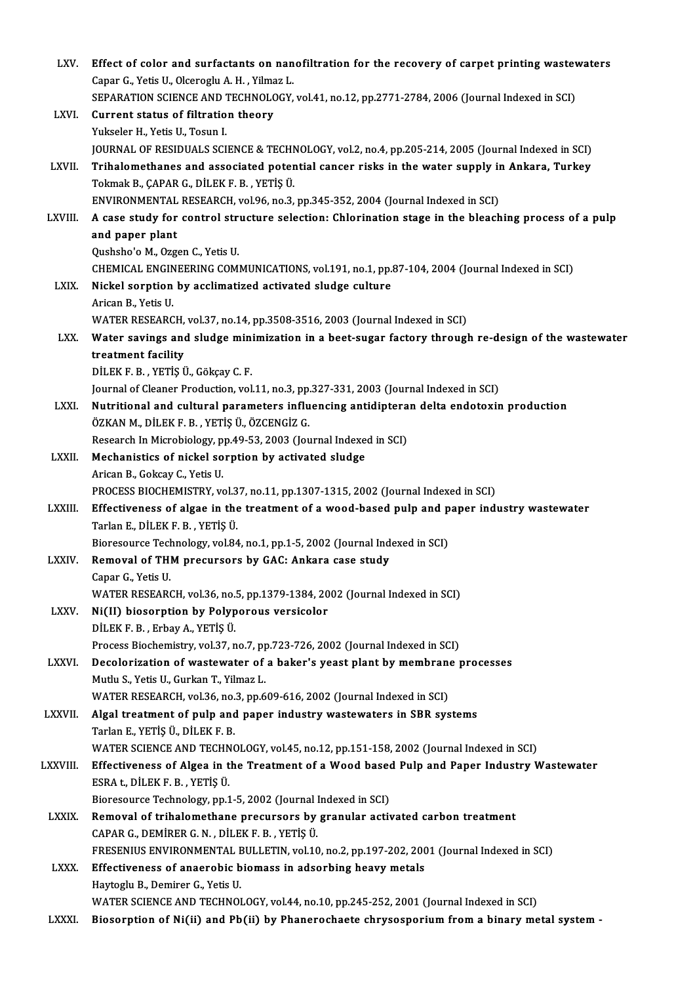| LXV.         | Effect of color and surfactants on nanofiltration for the recovery of carpet printing wastewaters                           |
|--------------|-----------------------------------------------------------------------------------------------------------------------------|
|              | Capar G., Yetis U., Olceroglu A. H., Yilmaz L.                                                                              |
|              | SEPARATION SCIENCE AND TECHNOLOGY, vol.41, no.12, pp.2771-2784, 2006 (Journal Indexed in SCI)                               |
| LXVI.        | Current status of filtration theory                                                                                         |
|              | Yukseler H., Yetis U., Tosun I.                                                                                             |
|              | JOURNAL OF RESIDUALS SCIENCE & TECHNOLOGY, vol.2, no.4, pp.205-214, 2005 (Journal Indexed in SCI)                           |
| LXVII.       | Trihalomethanes and associated potential cancer risks in the water supply in Ankara, Turkey                                 |
|              | Tokmak B., ÇAPAR G., DİLEK F. B., YETİŞ Ü.                                                                                  |
|              | ENVIRONMENTAL RESEARCH, vol 96, no.3, pp.345-352, 2004 (Journal Indexed in SCI)                                             |
| LXVIII.      | A case study for control structure selection: Chlorination stage in the bleaching process of a pulp                         |
|              | and paper plant                                                                                                             |
|              | Qushsho'o M., Ozgen C., Yetis U.                                                                                            |
|              | CHEMICAL ENGINEERING COMMUNICATIONS, vol.191, no.1, pp.87-104, 2004 (Journal Indexed in SCI)                                |
| LXIX.        | Nickel sorption by acclimatized activated sludge culture                                                                    |
|              | Arican B, Yetis U                                                                                                           |
|              | WATER RESEARCH, vol.37, no.14, pp.3508-3516, 2003 (Journal Indexed in SCI)                                                  |
| LXX.         | Water savings and sludge minimization in a beet-sugar factory through re-design of the wastewater                           |
|              | treatment facility                                                                                                          |
|              | DİLEK F. B., YETİŞ Ü., Gökçay C. F.                                                                                         |
|              | Journal of Cleaner Production, vol.11, no.3, pp.327-331, 2003 (Journal Indexed in SCI)                                      |
| LXXI.        | Nutritional and cultural parameters influencing antidipteran delta endotoxin production                                     |
|              | ÖZKAN M., DİLEK F. B., YETİŞ Ü., ÖZCENGİZ G.                                                                                |
|              | Research In Microbiology, pp.49-53, 2003 (Journal Indexed in SCI)                                                           |
| <b>LXXII</b> | Mechanistics of nickel sorption by activated sludge<br>Arican B., Gokcay C., Yetis U.                                       |
|              | PROCESS BIOCHEMISTRY, vol.37, no.11, pp.1307-1315, 2002 (Journal Indexed in SCI)                                            |
| LXXIII.      | Effectiveness of algae in the treatment of a wood-based pulp and paper industry wastewater                                  |
|              | Tarlan E., DİLEK F. B., YETİŞ Ü.                                                                                            |
|              | Bioresource Technology, vol.84, no.1, pp.1-5, 2002 (Journal Indexed in SCI)                                                 |
| <b>LXXIV</b> | Removal of THM precursors by GAC: Ankara case study                                                                         |
|              | Capar G., Yetis U.                                                                                                          |
|              | WATER RESEARCH, vol.36, no.5, pp.1379-1384, 2002 (Journal Indexed in SCI)                                                   |
| LXXV.        | Ni(II) biosorption by Polyporous versicolor                                                                                 |
|              | DİLEK F. B., Erbay A., YETİŞ Ü.                                                                                             |
|              | Process Biochemistry, vol.37, no.7, pp.723-726, 2002 (Journal Indexed in SCI)                                               |
| LXXVI.       | Decolorization of wastewater of a baker's yeast plant by membrane processes                                                 |
|              | Mutlu S., Yetis U., Gurkan T., Yilmaz L.                                                                                    |
|              | WATER RESEARCH, vol.36, no.3, pp.609-616, 2002 (Journal Indexed in SCI)                                                     |
| LXXVII.      | Algal treatment of pulp and paper industry wastewaters in SBR systems                                                       |
|              | Tarlan E., YETİŞ Ü., DİLEK F. B.                                                                                            |
|              | WATER SCIENCE AND TECHNOLOGY, vol.45, no.12, pp.151-158, 2002 (Journal Indexed in SCI)                                      |
| LXXVIII.     | Effectiveness of Algea in the Treatment of a Wood based Pulp and Paper Industry Wastewater<br>ESRA t, DİLEK F. B., YETİŞ Ü. |
|              | Bioresource Technology, pp.1-5, 2002 (Journal Indexed in SCI)                                                               |
| <b>LXXIX</b> | Removal of trihalomethane precursors by granular activated carbon treatment                                                 |
|              | CAPAR G., DEMIRER G. N., DILEK F. B., YETIŞ Ü.                                                                              |
|              | FRESENIUS ENVIRONMENTAL BULLETIN, vol.10, no.2, pp.197-202, 2001 (Journal Indexed in SCI)                                   |
| <b>LXXX</b>  | Effectiveness of anaerobic biomass in adsorbing heavy metals                                                                |
|              | Haytoglu B., Demirer G., Yetis U.                                                                                           |
|              | WATER SCIENCE AND TECHNOLOGY, vol.44, no.10, pp.245-252, 2001 (Journal Indexed in SCI)                                      |
| <b>LXXXI</b> | Biosorption of Ni(ii) and Pb(ii) by Phanerochaete chrysosporium from a binary metal system -                                |
|              |                                                                                                                             |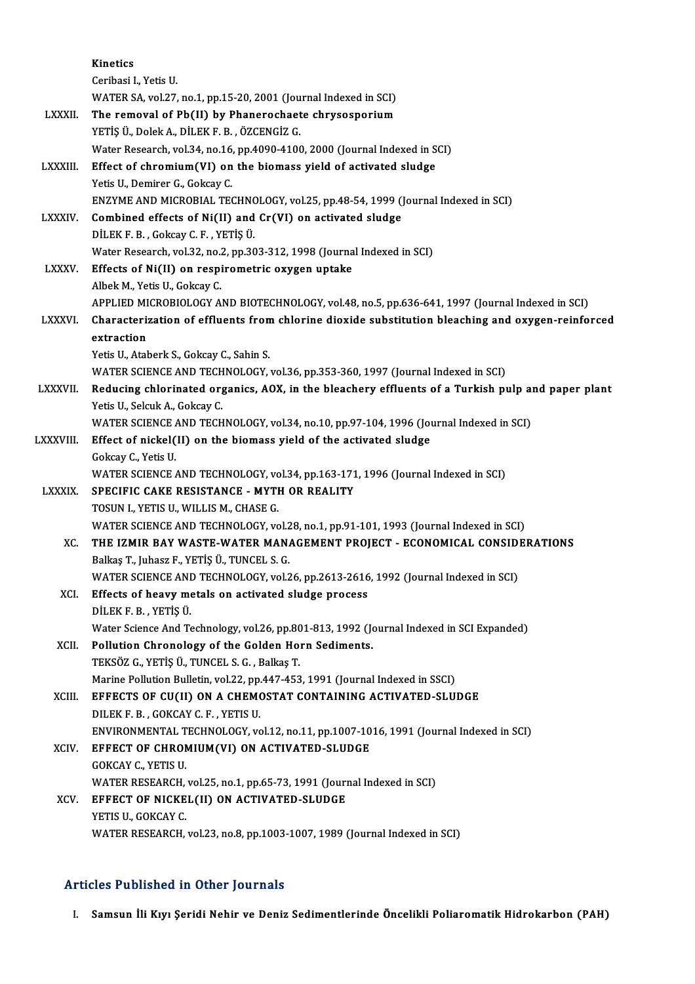|                 | Kinetics                                                                                                                     |
|-----------------|------------------------------------------------------------------------------------------------------------------------------|
|                 | Ceribasi I, Yetis U                                                                                                          |
|                 | WATER SA, vol.27, no.1, pp.15-20, 2001 (Journal Indexed in SCI)                                                              |
| <b>LXXXII.</b>  | The removal of Pb(II) by Phanerochaete chrysosporium                                                                         |
|                 | YETİŞ Ü., Dolek A., DİLEK F. B., ÖZCENGİZ G.                                                                                 |
|                 | Water Research, vol.34, no.16, pp.4090-4100, 2000 (Journal Indexed in SCI)                                                   |
| <b>LXXXIII</b>  | Effect of chromium(VI) on the biomass yield of activated sludge                                                              |
|                 | Yetis U., Demirer G., Gokcay C.                                                                                              |
|                 | ENZYME AND MICROBIAL TECHNOLOGY, vol.25, pp.48-54, 1999 (Journal Indexed in SCI)                                             |
| <b>LXXXIV</b>   | Combined effects of Ni(II) and Cr(VI) on activated sludge                                                                    |
|                 | DİLEK F. B., Gokcay C. F., YETİŞ Ü.                                                                                          |
|                 | Water Research, vol.32, no.2, pp.303-312, 1998 (Journal Indexed in SCI)                                                      |
| <b>LXXXV</b>    | Effects of Ni(II) on respirometric oxygen uptake                                                                             |
|                 | Albek M., Yetis U., Gokcay C.                                                                                                |
|                 | APPLIED MICROBIOLOGY AND BIOTECHNOLOGY, vol.48, no.5, pp.636-641, 1997 (Journal Indexed in SCI)                              |
| <b>LXXXVI</b>   | Characterization of effluents from chlorine dioxide substitution bleaching and oxygen-reinforced                             |
|                 | extraction                                                                                                                   |
|                 | Yetis U., Ataberk S., Gokcay C., Sahin S.<br>WATER SCIENCE AND TECHNOLOGY, vol.36, pp.353-360, 1997 (Journal Indexed in SCI) |
| <b>LXXXVII.</b> | Reducing chlorinated organics, AOX, in the bleachery effluents of a Turkish pulp and paper plant                             |
|                 | Yetis U., Selcuk A., Gokcay C.                                                                                               |
|                 | WATER SCIENCE AND TECHNOLOGY, vol.34, no.10, pp.97-104, 1996 (Journal Indexed in SCI)                                        |
| LXXXVIII.       | Effect of nickel(II) on the biomass yield of the activated sludge                                                            |
|                 | Gokcay C., Yetis U.                                                                                                          |
|                 | WATER SCIENCE AND TECHNOLOGY, vol.34, pp.163-171, 1996 (Journal Indexed in SCI)                                              |
| <b>LXXXIX</b>   | SPECIFIC CAKE RESISTANCE - MYTH OR REALITY                                                                                   |
|                 | TOSUN I., YETIS U., WILLIS M., CHASE G.                                                                                      |
|                 | WATER SCIENCE AND TECHNOLOGY, vol.28, no.1, pp.91-101, 1993 (Journal Indexed in SCI)                                         |
| XC.             | THE IZMIR BAY WASTE-WATER MANAGEMENT PROJECT - ECONOMICAL CONSIDERATIONS                                                     |
|                 | Balkaş T., Juhasz F., YETİŞ Ü., TUNCEL S. G.                                                                                 |
|                 | WATER SCIENCE AND TECHNOLOGY, vol.26, pp.2613-2616, 1992 (Journal Indexed in SCI)                                            |
| XCI.            | Effects of heavy metals on activated sludge process                                                                          |
|                 | DİLEK F B , YETİŞ Ü                                                                                                          |
|                 | Water Science And Technology, vol.26, pp.801-813, 1992 (Journal Indexed in SCI Expanded)                                     |
| XCII.           | Pollution Chronology of the Golden Horn Sediments.                                                                           |
|                 | TEKSÖZ G., YETİŞ Ü., TUNCEL S. G., Balkaş T.                                                                                 |
|                 | Marine Pollution Bulletin, vol.22, pp.447-453, 1991 (Journal Indexed in SSCI)                                                |
| XCIII.          | EFFECTS OF CU(II) ON A CHEMOSTAT CONTAINING ACTIVATED-SLUDGE                                                                 |
|                 | DILEK F. B., GOKCAY C. F., YETIS U.<br>ENVIRONMENTAL TECHNOLOGY, vol.12, no.11, pp.1007-1016, 1991 (Journal Indexed in SCI)  |
| <b>XCIV</b>     | EFFECT OF CHROMIUM(VI) ON ACTIVATED-SLUDGE                                                                                   |
|                 | GOKCAY C., YETIS U.                                                                                                          |
|                 | WATER RESEARCH, vol.25, no.1, pp.65-73, 1991 (Journal Indexed in SCI)                                                        |
| XCV.            | EFFECT OF NICKEL(II) ON ACTIVATED-SLUDGE                                                                                     |
|                 | YETIS U., GOKCAY C.                                                                                                          |
|                 | WATER RESEARCH, vol.23, no.8, pp.1003-1007, 1989 (Journal Indexed in SCI)                                                    |
|                 |                                                                                                                              |

## Articles Published in Other Journals

I. Samsun İli Kıyı Şeridi Nehir ve Deniz Sedimentlerinde Öncelikli Poliaromatik Hidrokarbon (PAH)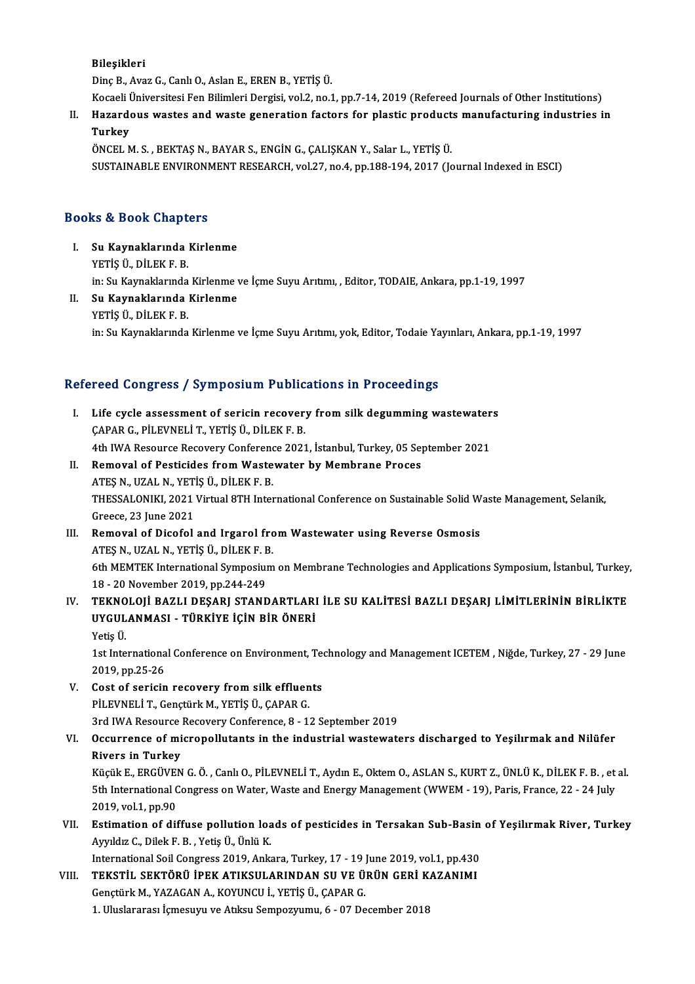### Bileşikleri

DinçB.,AvazG.,CanlıO.,AslanE.,ERENB.,YETİŞÜ.

Bil<mark>eşikleri</mark><br>Dinç B., Avaz G., Canlı O., Aslan E., EREN B., YETİŞ Ü.<br>Kocaeli Üniversitesi Fen Bilimleri Dergisi, vol.2, no.1, pp.7-14, 2019 (Refereed Journals of Other Institutions)

II. Hazardous wastes and waste generation factors for plastic products manufacturing industries in<br>Turkey Kocaeli <mark>(</mark><br>Hazard<br>Turkey<br>ÖNCEL A

ÖNCEL M.S., BEKTAŞ N., BAYAR S., ENGİN G., ÇALIŞKAN Y., Salar L., YETİŞ Ü. SUSTAINABLEENVIRONMENTRESEARCH,vol.27,no.4,pp.188-194,2017 (Journal Indexed inESCI)

## Books&Book Chapters

- ooks & Book Chapters<br>I. Su Kaynaklarında Kirlenme<br>YETİS ÜLDÜEKER YETİŞ Ü, DİLEKF.B.<br>YETİŞ Ü, DİLEKF.B.<br>İn: Su Kaynaklanında Su Kaynaklarında Kirlenme<br>YETİŞ Ü., DİLEK F. B.<br>in: Su Kaynaklarında Kirlenme ve İçme Suyu Arıtımı, , Editor, TODAIE, Ankara, pp.1-19, 1997<br>Su Kaynaklarında Kirlenme YETİŞ Ü., DİLEK F. B.<br>in: Su Kaynaklarında Kirlenme<br>II. Su Kaynaklarında Kirlenme<br>YETİŞ Ü., DİLEK F. B.
- in: Su Kaynaklarında<br>Su Kaynaklarında<br>YETİŞ Ü., DİLEK F. B.<br>in: Su Kaynaklanında in: Su Kaynaklarında Kirlenme ve İçme Suyu Arıtımı, yok, Editor, Todaie Yayınları, Ankara, pp.1-19, 1997

## Refereed Congress / Symposium Publications in Proceedings

efereed Congress / Symposium Publications in Proceedings<br>I. Life cycle assessment of sericin recovery from silk degumming wastewaters Life cycle assessment of sericin recover:<br>CAPAR G., PİLEVNELİ T., YETİŞ Ü., DİLEK F. B.<br>4th IWA Beseurse Besevery Conference 2021 Life cycle assessment of sericin recovery from silk degumming wastewater<br>CAPAR G., PİLEVNELİ T., YETİŞ Ü., DİLEK F. B.<br>4th IWA Resource Recovery Conference 2021, İstanbul, Turkey, 05 September 2021<br>Pemeual of Pestisides fr CAPAR G., PILEVNELI T., YETIŞ Ü., DILEK F. B.<br>4th IWA Resource Recovery Conference 2021, İstanbul, Turkey, 05 Se<br>II. Removal of Pesticides from Wastewater by Membrane Proces<br>ATES N., UZAL N., YETIS Ü., DİLEK F. B. 4th IWA Resource Recovery Conference 2021, İstanbul, Turkey, 05 September 2021 Removal of Pesticides from Wastewater by Membrane Proces<br>ATEŞ N., UZAL N., YETİŞ Ü., DİLEK F. B.<br>THESSALONIKI, 2021 Virtual 8TH International Conference on Sustainable Solid Waste Management, Selanik,<br>Creesse 22 June 2021 ATEȘ N., UZAL N., YET<br>THESSALONIKI, 2021<br>Greece, 23 June 2021<br>Bomoval of Disafol THESSALONIKI, 2021 Virtual 8TH International Conference on Sustainable Solid W<br>Greece, 23 June 2021<br>III. Removal of Dicofol and Irgarol from Wastewater using Reverse Osmosis<br>ATES N. 11741 N. VETIS Ü. DU EV E. P. Greece, 23 June 2021<br>Removal of Dicofol and Irgarol fro<br>ATEŞ N., UZAL N., YETİŞ Ü., DİLEK F. B.<br>6th MEMTEK International Sumnoqium Removal of Dicofol and Irgarol from Wastewater using Reverse Osmosis<br>ATEŞ N., UZAL N., YETİŞ Ü., DİLEK F. B.<br>6th MEMTEK International Symposium on Membrane Technologies and Applications Symposium, İstanbul, Turkey,<br>18 . 30 ATEŞ N., UZAL N., YETİŞ Ü., DİLEK F. E<br>6th MEMTEK International Symposiu<br>18 - 20 November 2019, pp.244-249<br>TEKNOLOU PAZLI DESARL STAND IV. TEKNOLOJİ BAZLI DEŞARJ STANDARTLARI İLE SU KALİTESİ BAZLI DEŞARJ LİMİTLERİNİN BİRLİKTE 18 - 20 November 2019, pp.244-249<br>TEKNOLOJİ BAZLI DEŞARJ STANDARTLARI<br>UYGULANMASI - TÜRKİYE İÇİN BİR ÖNERİ<br><sup>Vetis Ü</sup> TEKNO<br>UYGUL<br>Yetiş Ü. UYGULANMASI - TÜRKİYE İÇİN BİR ÖNERİ<br>Yetiş Ü.<br>1st International Conference on Environment, Technology and Management ICETEM , Niğde, Turkey, 27 - 29 June<br>2019. pp.25.26 Yetiş Ü.<br>1st Internationa<br>2019, pp.25-26<br>Cost of sericin 1st International Conference on Environment, Te<br>2019, pp.25-26<br>V. Cost of sericin recovery from silk effluents<br>pit EVNELLT, Constitute M, VETIS (I, CABAR C 2019, pp.25-26<br>Cost of sericin recovery from silk effluen<br>PİLEVNELİ T., Gençtürk M., YETİŞ Ü., ÇAPAR G.<br>2rd IWA Beseurse Besevery Conferense 8, 11 Cost of sericin recovery from silk effluents<br>PİLEVNELİ T., Gençtürk M., YETİŞ Ü., ÇAPAR G.<br>3rd IWA Resource Recovery Conference, 8 - 12 September 2019<br>Qesurranga of misronallutants in the industrial wastawate PİLEVNELİ T., Gençtürk M., YETİŞ Ü., ÇAPAR G.<br>3rd IWA Resource Recovery Conference, 8 - 12 September 2019<br>VI. Occurrence of micropollutants in the industrial wastewaters discharged to Yeşilırmak and Nilüfer<br>Rivers in T **3rd IWA Resource :<br>Occurrence of mi<br>Rivers in Turkey**<br>Kögük E. ERCÜVEN Occurrence of micropollutants in the industrial wastewaters discharged to Yeşilırmak and Nilüfer<br>Rivers in Turkey<br>Küçük E., ERGÜVEN G.Ö., Canlı O., PİLEVNELİ T., Aydın E., Oktem O., ASLAN S., KURT Z., ÜNLÜ K., DİLEK F. B. Rivers in Turkey<br>Küçük E., ERGÜVEN G. Ö. , Canlı O., PİLEVNELİ T., Aydın E., Oktem O., ASLAN S., KURT Z., ÜNLÜ K., DİLEK F. B. , et<br>5th International Congress on Water, Waste and Energy Management (WWEM - 19), Paris, Franc Küçük E., ERGÜVEI<br>5th International C<br>2019, vol.1, pp.90<br>Estimation of dif 5th International Congress on Water, Waste and Energy Management (WWEM - 19), Paris, France, 22 - 24 July<br>2019, vol.1, pp.90<br>VII. Estimation of diffuse pollution loads of pesticides in Tersakan Sub-Basin of Yeşilırmak Rive 2019, vol.1, pp.90<br>**Estimation of diffuse pollution loa**<br>Ayyıldız C., Dilek F. B. , Yetiş Ü., Ünlü K.<br>International Seil Congress 2010, Anlu Estimation of diffuse pollution loads of pesticides in Tersakan Sub-Basin<br>Ayyıldız C., Dilek F. B. , Yetiş Ü., Ünlü K.<br>International Soil Congress 2019, Ankara, Turkey, 17 - 19 June 2019, vol.1, pp.430<br>TEKSTU, SEKTÖRÜ İDEK Ayyıldız C., Dilek F. B. , Yetiş Ü., Ünlü K.<br>International Soil Congress 2019, Ankara, Turkey, 17 - 19 June 2019, vol.1, pp.430<br>VIII. TEKSTİL SEKTÖRÜ İPEK ATIKSULARINDAN SU VE ÜRÜN GERİ KAZANIMI<br>Constürk M. YAZACAN A.

International Soil Congress 2019, Ankara, Turkey, 17 - 19<br>TEKSTİL SEKTÖRÜ İPEK ATIKSULARINDAN SU VE Ü.<br>Gençtürk M., YAZAGAN A., KOYUNCU İ., YETİŞ Ü., ÇAPAR G.<br>1. Uluslararası İsmesuvu ve Atiksu Somnozununu. 6. 07 De TEKSTİL SEKTÖRÜ İPEK ATIKSULARINDAN SU VE ÜRÜN GERİ K<br>Gençtürk M., YAZAGAN A., KOYUNCU İ., YETİŞ Ü., ÇAPAR G.<br>1. Uluslararası İçmesuyu ve Atıksu Sempozyumu, 6 - 07 December 2018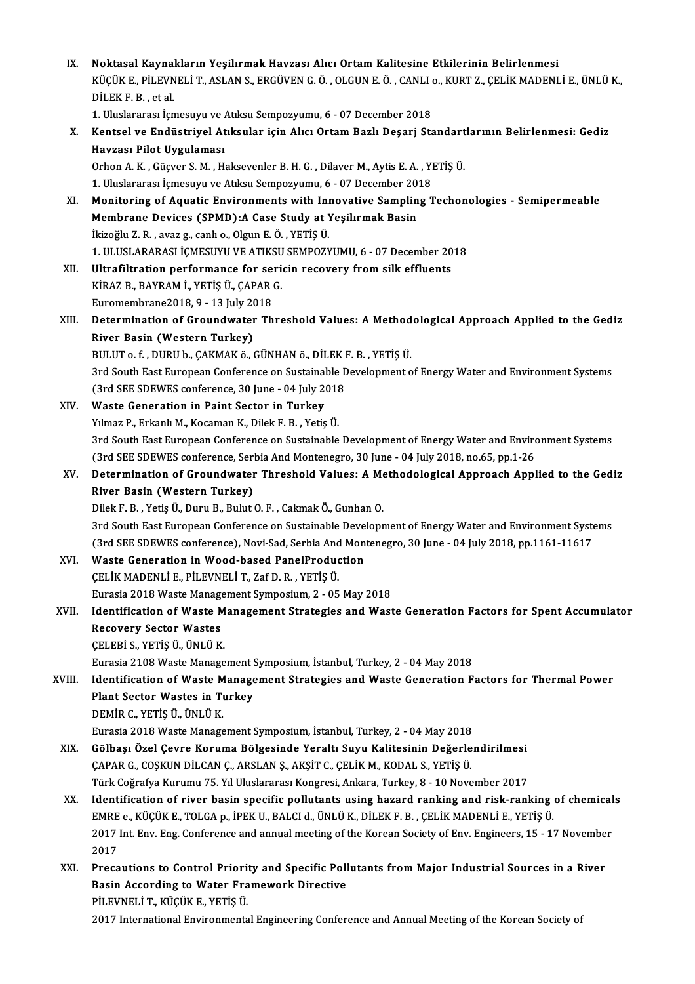| IX.    | Noktasal Kaynakların Yeşilırmak Havzası Alıcı Ortam Kalitesine Etkilerinin Belirlenmesi                       |
|--------|---------------------------------------------------------------------------------------------------------------|
|        | KÜÇÜK E., PİLEVNELİ T., ASLAN S., ERGÜVEN G. Ö. , OLGUN E. Ö. , CANLI 0., KURT Z., ÇELİK MADENLİ E., ÜNLÜ K., |
|        | DİLEK F.B., et al.                                                                                            |
|        | 1. Uluslararası İçmesuyu ve Atıksu Sempozyumu, 6 - 07 December 2018                                           |
| Х.     | Kentsel ve Endüstriyel Atıksular için Alıcı Ortam Bazlı Deşarj Standartlarının Belirlenmesi: Gediz            |
|        | Havzası Pilot Uygulaması                                                                                      |
|        | Orhon A. K., Güçver S. M., Haksevenler B. H. G., Dilaver M., Aytis E. A., YETİŞ Ü.                            |
|        | 1. Uluslararası İçmesuyu ve Atıksu Sempozyumu, 6 - 07 December 2018                                           |
| XI.    | Monitoring of Aquatic Environments with Innovative Sampling Techonologies - Semipermeable                     |
|        | Membrane Devices (SPMD):A Case Study at Yeşilırmak Basin                                                      |
|        | İkizoğlu Z. R., avaz g., canlı o., Olgun E. Ö., YETİŞ Ü.                                                      |
|        | 1. ULUSLARARASI İÇMESUYU VE ATIKSU SEMPOZYUMU, 6 - 07 December 2018                                           |
| XII.   | Ultrafiltration performance for sericin recovery from silk effluents                                          |
|        | KİRAZ B., BAYRAM İ., YETİŞ Ü., ÇAPAR G.                                                                       |
|        | Euromembrane2018, 9 - 13 July 2018                                                                            |
| XIII.  | Determination of Groundwater Threshold Values: A Methodological Approach Applied to the Gediz                 |
|        | River Basin (Western Turkey)                                                                                  |
|        | BULUT o. f., DURU b., ÇAKMAK ö., GÜNHAN ö., DİLEK F. B., YETİŞ Ü.                                             |
|        | 3rd South East European Conference on Sustainable Development of Energy Water and Environment Systems         |
|        |                                                                                                               |
|        | (3rd SEE SDEWES conference, 30 June - 04 July 2018                                                            |
| XIV.   | Waste Generation in Paint Sector in Turkey                                                                    |
|        | Yılmaz P., Erkanlı M., Kocaman K., Dilek F. B., Yetiş Ü.                                                      |
|        | 3rd South East European Conference on Sustainable Development of Energy Water and Environment Systems         |
|        | (3rd SEE SDEWES conference, Serbia And Montenegro, 30 June - 04 July 2018, no.65, pp.1-26                     |
| XV.    | Determination of Groundwater Threshold Values: A Methodological Approach Applied to the Gediz                 |
|        | River Basin (Western Turkey)                                                                                  |
|        | Dilek F. B., Yetiş Ü., Duru B., Bulut O. F., Cakmak Ö., Gunhan O.                                             |
|        | 3rd South East European Conference on Sustainable Development of Energy Water and Environment Systems         |
|        | (3rd SEE SDEWES conference), Novi-Sad, Serbia And Montenegro, 30 June - 04 July 2018, pp.1161-11617           |
| XVI.   | Waste Generation in Wood-based PanelProduction                                                                |
|        | ÇELİK MADENLİ E., PİLEVNELİ T., Zaf D. R., YETİŞ Ü.                                                           |
|        | Eurasia 2018 Waste Management Symposium, 2 - 05 May 2018                                                      |
| XVII.  | Identification of Waste Management Strategies and Waste Generation Factors for Spent Accumulator              |
|        | <b>Recovery Sector Wastes</b>                                                                                 |
|        | ÇELEBİ S., YETİŞ Ü., ÜNLÜ K.                                                                                  |
|        | Eurasia 2108 Waste Management Symposium, İstanbul, Turkey, 2 - 04 May 2018                                    |
| XVIII. | Identification of Waste Management Strategies and Waste Generation Factors for Thermal Power                  |
|        | <b>Plant Sector Wastes in Turkey</b>                                                                          |
|        | DEMİR C., YETİŞ Ü., ÜNLÜ K.                                                                                   |
|        | Eurasia 2018 Waste Management Symposium, İstanbul, Turkey, 2 - 04 May 2018                                    |
| XIX.   | Gölbaşı Özel Çevre Koruma Bölgesinde Yeraltı Suyu Kalitesinin Değerlendirilmesi                               |
|        | ÇAPAR G., COŞKUN DİLCAN Ç., ARSLAN Ş., AKŞİT C., ÇELİK M., KODAL S., YETİŞ Ü.                                 |
|        | Türk Coğrafya Kurumu 75. Yıl Uluslararası Kongresi, Ankara, Turkey, 8 - 10 November 2017                      |
| XX.    | Identification of river basin specific pollutants using hazard ranking and risk-ranking of chemicals          |
|        | EMRE e., KÜÇÜK E., TOLGA p., İPEK U., BALCI d., ÜNLÜ K., DİLEK F. B. , ÇELİK MADENLİ E., YETİŞ Ü.             |
|        | 2017 Int. Env. Eng. Conference and annual meeting of the Korean Society of Env. Engineers, 15 - 17 November   |
|        | 2017                                                                                                          |
| XXI.   | Precautions to Control Priority and Specific Pollutants from Major Industrial Sources in a River              |
|        | Basin According to Water Framework Directive                                                                  |
|        | PİLEVNELİ T., KÜÇÜK E., YETİŞ Ü.                                                                              |
|        | 2017 International Environmental Engineering Conference and Annual Meeting of the Korean Society of           |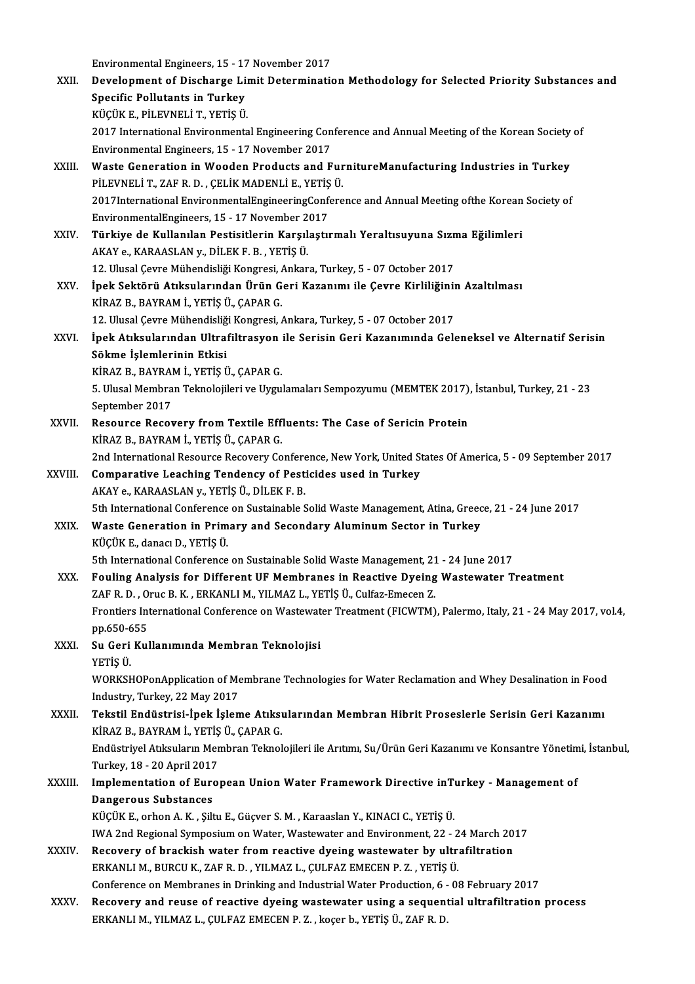environmental Engineers, 15 - 17 November 2017<br>Pevelenment of Discharge Limit Determination

|             | Environmental Engineers, 15 - 17 November 2017                                                                                                                |
|-------------|---------------------------------------------------------------------------------------------------------------------------------------------------------------|
| XXII.       | Development of Discharge Limit Determination Methodology for Selected Priority Substances and                                                                 |
|             | <b>Specific Pollutants in Turkey</b>                                                                                                                          |
|             | KÜÇÜK E., PİLEVNELİ T., YETİŞ Ü.                                                                                                                              |
|             | 2017 International Environmental Engineering Conference and Annual Meeting of the Korean Society of                                                           |
|             | Environmental Engineers, 15 - 17 November 2017                                                                                                                |
| XXIII.      | Waste Generation in Wooden Products and FurnitureManufacturing Industries in Turkey                                                                           |
|             | PİLEVNELİ T., ZAF R. D., ÇELİK MADENLİ E., YETİŞ Ü.                                                                                                           |
|             | 2017International EnvironmentalEngineeringConference and Annual Meeting ofthe Korean Society of                                                               |
|             | EnvironmentalEngineers, 15 - 17 November 2017                                                                                                                 |
| XXIV        | Türkiye de Kullanılan Pestisitlerin Karşılaştırmalı Yeraltısuyuna Sızma Eğilimleri                                                                            |
|             | AKAY e., KARAASLAN y., DİLEK F. B. , YETİŞ Ü.                                                                                                                 |
|             | 12. Ulusal Çevre Mühendisliği Kongresi, Ankara, Turkey, 5 - 07 October 2017                                                                                   |
| XXV.        | İpek Sektörü Atıksularından Ürün Geri Kazanımı ile Çevre Kirliliğinin Azaltılması                                                                             |
|             | KİRAZ B., BAYRAM İ., YETİŞ Ü., ÇAPAR G.                                                                                                                       |
|             | 12. Ulusal Çevre Mühendisliği Kongresi, Ankara, Turkey, 5 - 07 October 2017                                                                                   |
| XXVI.       | İpek Atıksularından Ultrafiltrasyon ile Serisin Geri Kazanımında Geleneksel ve Alternatif Serisin                                                             |
|             | Sökme İşlemlerinin Etkisi                                                                                                                                     |
|             | KİRAZ B., BAYRAM İ., YETİŞ Ü., ÇAPAR G.                                                                                                                       |
|             | 5. Ulusal Membran Teknolojileri ve Uygulamaları Sempozyumu (MEMTEK 2017), İstanbul, Turkey, 21 - 23                                                           |
|             | September 2017                                                                                                                                                |
| XXVII.      | Resource Recovery from Textile Effluents: The Case of Sericin Protein                                                                                         |
|             | KİRAZ B., BAYRAM İ., YETİŞ Ü., ÇAPAR G.                                                                                                                       |
|             | 2nd International Resource Recovery Conference, New York, United States Of America, 5 - 09 September 2017                                                     |
| XXVIII.     | Comparative Leaching Tendency of Pesticides used in Turkey                                                                                                    |
|             | AKAY e., KARAASLAN y., YETİŞ Ü., DİLEK F. B.                                                                                                                  |
|             | 5th International Conference on Sustainable Solid Waste Management, Atina, Greece, 21 - 24 June 2017                                                          |
| XXIX.       | Waste Generation in Primary and Secondary Aluminum Sector in Turkey                                                                                           |
|             | KÜÇÜK E., danacı D., YETİŞ Ü.                                                                                                                                 |
|             | 5th International Conference on Sustainable Solid Waste Management, 21 - 24 June 2017                                                                         |
| XXX.        | Fouling Analysis for Different UF Membranes in Reactive Dyeing Wastewater Treatment<br>ZAF R.D., Oruc B.K., ERKANLI M., YILMAZ L., YETİŞ Ü., Culfaz-Emecen Z. |
|             | Frontiers International Conference on Wastewater Treatment (FICWTM), Palermo, Italy, 21 - 24 May 2017, vol.4,                                                 |
|             | pp.650-655                                                                                                                                                    |
| <b>XXXI</b> | Su Geri Kullanımında Membran Teknolojisi                                                                                                                      |
|             | YETİŞ Ü.                                                                                                                                                      |
|             | WORKSHOPonApplication of Membrane Technologies for Water Reclamation and Whey Desalination in Food                                                            |
|             | Industry, Turkey, 22 May 2017                                                                                                                                 |
| XXXII.      | Tekstil Endüstrisi-İpek İşleme Atıksularından Membran Hibrit Proseslerle Serisin Geri Kazanımı                                                                |
|             | KİRAZ B., BAYRAM İ., YETİŞ Ü., ÇAPAR G.                                                                                                                       |
|             | Endüstriyel Atıksuların Membran Teknolojileri ile Arıtımı, Su/Ürün Geri Kazanımı ve Konsantre Yönetimi, İstanbul,                                             |
|             | Turkey, 18 - 20 April 2017                                                                                                                                    |
| XXXIII.     | Implementation of European Union Water Framework Directive inTurkey - Management of                                                                           |
|             | <b>Dangerous Substances</b>                                                                                                                                   |
|             | KÜÇÜK E., orhon A. K., Şiltu E., Güçver S. M., Karaaslan Y., KINACI C., YETİŞ Ü.                                                                              |
|             | IWA 2nd Regional Symposium on Water, Wastewater and Environment, 22 - 24 March 2017                                                                           |
| XXXIV.      | Recovery of brackish water from reactive dyeing wastewater by ultrafiltration                                                                                 |
|             | ERKANLI M., BURCU K., ZAF R. D., YILMAZ L., ÇULFAZ EMECEN P. Z., YETİŞ Ü.                                                                                     |
|             | Conference on Membranes in Drinking and Industrial Water Production, 6 - 08 February 2017                                                                     |
| XXXV.       | Recovery and reuse of reactive dyeing wastewater using a sequential ultrafiltration process                                                                   |
|             | ERKANLI M., YILMAZ L., ÇULFAZ EMECEN P. Z., koçer b., YETİŞ Ü., ZAF R. D.                                                                                     |
|             |                                                                                                                                                               |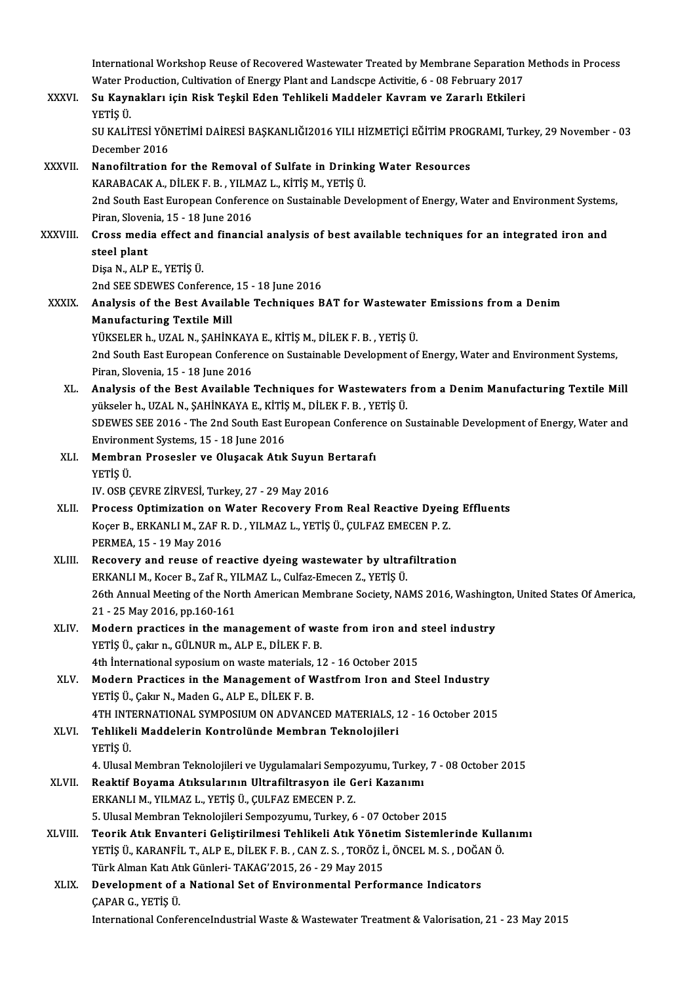|              | International Workshop Reuse of Recovered Wastewater Treated by Membrane Separation Methods in Process       |
|--------------|--------------------------------------------------------------------------------------------------------------|
|              | Water Production, Cultivation of Energy Plant and Landscpe Activitie, 6 - 08 February 2017                   |
| <b>XXXVI</b> | Su Kaynakları için Risk Teşkil Eden Tehlikeli Maddeler Kavram ve Zararlı Etkileri                            |
|              | YETİŞ Ü.                                                                                                     |
|              | SU KALİTESİ YÖNETİMİ DAİRESİ BAŞKANLIĞI2016 YILI HİZMETİÇİ EĞİTİM PROGRAMI, Turkey, 29 November - 03         |
|              | December 2016                                                                                                |
| XXXVII.      | Nanofiltration for the Removal of Sulfate in Drinking Water Resources                                        |
|              | KARABACAK A., DİLEK F. B., YILMAZ L., KİTİŞ M., YETİŞ Ü.                                                     |
|              | 2nd South East European Conference on Sustainable Development of Energy, Water and Environment Systems,      |
|              | Piran, Slovenia, 15 - 18 June 2016                                                                           |
| XXXVIII.     | Cross media effect and financial analysis of best available techniques for an integrated iron and            |
|              | steel plant                                                                                                  |
|              | Dişa N, ALP E, YETİŞ Ü.                                                                                      |
|              | 2nd SEE SDEWES Conference, 15 - 18 June 2016                                                                 |
| <b>XXXIX</b> | Analysis of the Best Available Techniques BAT for Wastewater Emissions from a Denim                          |
|              | <b>Manufacturing Textile Mill</b>                                                                            |
|              | YÜKSELER h., UZAL N., ŞAHİNKAYA E., KİTİŞ M., DİLEK F. B. , YETİŞ Ü.                                         |
|              | 2nd South East European Conference on Sustainable Development of Energy, Water and Environment Systems,      |
|              | Piran, Slovenia, 15 - 18 June 2016                                                                           |
| XL.          | Analysis of the Best Available Techniques for Wastewaters from a Denim Manufacturing Textile Mill            |
|              | yükseler h., UZAL N., ŞAHİNKAYA E., KİTİŞ M., DİLEK F. B., YETİŞ Ü.                                          |
|              | SDEWES SEE 2016 - The 2nd South East European Conference on Sustainable Development of Energy, Water and     |
|              | Environment Systems, 15 - 18 June 2016                                                                       |
| XLI.         | Membran Prosesler ve Oluşacak Atık Suyun Bertarafı                                                           |
|              | YETİŞ Ü                                                                                                      |
|              | IV. OSB ÇEVRE ZİRVESİ, Turkey, 27 - 29 May 2016                                                              |
| XLII.        | Process Optimization on Water Recovery From Real Reactive Dyeing Effluents                                   |
|              | Koçer B., ERKANLI M., ZAF R. D., YILMAZ L., YETİŞ Ü., ÇULFAZ EMECEN P. Z.                                    |
|              | PERMEA. 15 - 19 May 2016                                                                                     |
| XLIII.       | Recovery and reuse of reactive dyeing wastewater by ultrafiltration                                          |
|              | ERKANLI M., Kocer B., Zaf R., YILMAZ L., Culfaz-Emecen Z., YETİŞ Ü.                                          |
|              | 26th Annual Meeting of the North American Membrane Society, NAMS 2016, Washington, United States Of America, |
|              | 21 - 25 May 2016, pp 160-161                                                                                 |
| XLIV.        | Modern practices in the management of waste from iron and steel industry                                     |
|              | YETİŞ Ü., çakır n., GÜLNUR m., ALP E., DİLEK F. B.                                                           |
|              | 4th International syposium on waste materials, 12 - 16 October 2015                                          |
| XLV.         | Modern Practices in the Management of Wastfrom Iron and Steel Industry                                       |
|              | YETİŞ Ü., Çakır N., Maden G., ALP E., DİLEK F. B.                                                            |
|              | 4TH INTERNATIONAL SYMPOSIUM ON ADVANCED MATERIALS, 12 - 16 October 2015                                      |
| XLVI.        | Tehlikeli Maddelerin Kontrolünde Membran Teknolojileri                                                       |
|              | YETİŞ Ü                                                                                                      |
|              | 4. Ulusal Membran Teknolojileri ve Uygulamalari Sempozyumu, Turkey, 7 - 08 October 2015                      |
| XLVII.       | Reaktif Boyama Atıksularının Ultrafiltrasyon ile Geri Kazanımı                                               |
|              | ERKANLI M., YILMAZ L., YETİŞ Ü., ÇULFAZ EMECEN P.Z.                                                          |
|              | 5. Ulusal Membran Teknolojileri Sempozyumu, Turkey, 6 - 07 October 2015                                      |
| XLVIII.      | Teorik Atık Envanteri Geliştirilmesi Tehlikeli Atık Yönetim Sistemlerinde Kullanımı                          |
|              | YETİŞ Ü., KARANFİL T., ALP E., DİLEK F. B. , CAN Z. S. , TORÖZ İ., ÖNCEL M. S. , DOĞAN Ö.                    |
|              | Türk Alman Katı Atık Günleri-TAKAG'2015, 26 - 29 May 2015                                                    |
| XLIX.        | Development of a National Set of Environmental Performance Indicators                                        |
|              | ÇAPAR G., YETİŞ Ü.                                                                                           |
|              | International ConferenceIndustrial Waste & Wastewater Treatment & Valorisation, 21 - 23 May 2015             |
|              |                                                                                                              |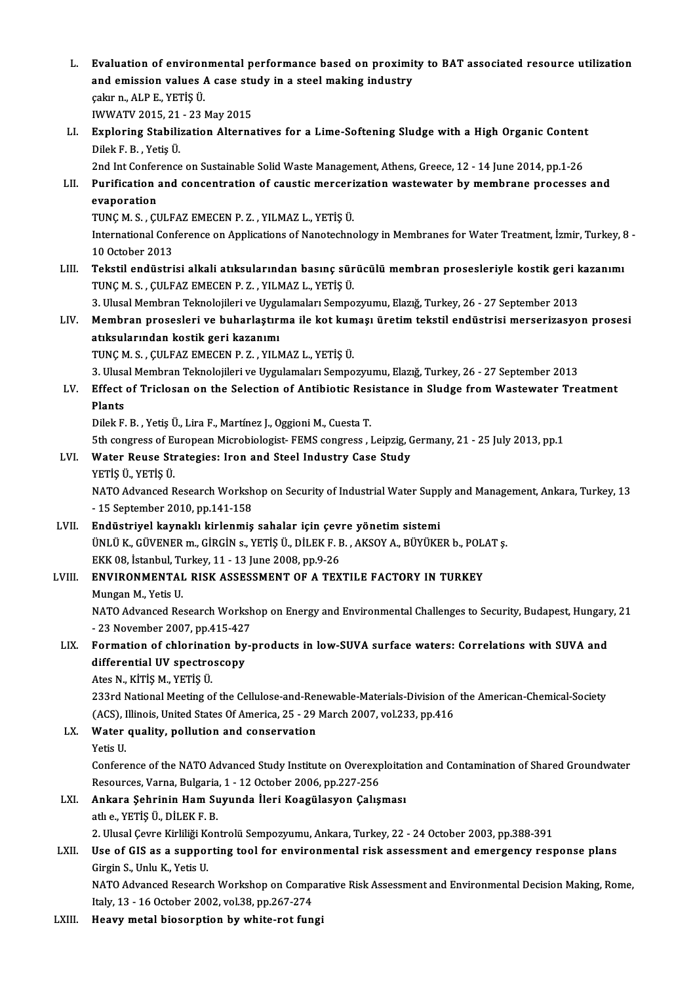- L. Evaluation of environmental performance based on proximity to BAT associated resource utilization Evaluation of environmental performance based on proximi<br>and emission values A case study in a steel making industry çakır n.,ALPE.,YETİŞÜ. and emission values A case study in a steel making industry çakır n., ALP E., YETİŞ Ü.<br>IWWATV 2015, 21 - 23 May 2015<br>LI. Exploring Stabilization Alternatives for a Lime-Softening Sludge with a High Organic Content<br>Dilok E. B. Vetis Ü IWWATV 2015, 21 - 23 May 2015<br>Exploring Stabilization Alterna<br>Dilek F. B. . Yetis Ü. Exploring Stabilization Alternatives for a Lime-Softening Sludge with a High Organic Content<br>Dilek F. B. , Yetiş Ü.<br>2nd Int Conference on Sustainable Solid Waste Management, Athens, Greece, 12 - 14 June 2014, pp.1-26<br>Burif LII. Purification and concentration of caustic mercerization wastewater by membrane processes and evaporation 2nd Int Conference on Sustainable Solid Waste Management, Athens, Greece, 12 - 14 June 2014, pp.1-26 Purification and concentration of caustic merceri<br>evaporation<br>TUNÇ M. S. , ÇULFAZ EMECEN P. Z. , YILMAZ L., YETİŞ Ü.<br>International Conference en Applications of Nanotoshne International Conference on Applications of Nanotechnology in Membranes for Water Treatment, İzmir, Turkey, 8 -<br>10 October 2013 TUNÇ M. S. , ÇULF<br>International Con<br>10 October 2013<br>Tekstil ondüstri International Conference on Applications of Nanotechnology in Membranes for Water Treatment, İzmir, Turkey, 8<br>10 October 2013<br>LIII. Tekstil endüstrisi alkali atıksularından basınç sürücülü membran prosesleriyle kostik geri TUNÇM.S. ,ÇULFAZ EMECENP.Z. ,YILMAZ L.,YETİŞÜ. Tekstil endüstrisi alkali atıksularından basınç sürücülü membran prosesleriyle kostik geri k<br>TUNÇ M. S. , ÇULFAZ EMECEN P. Z. , YILMAZ L., YETİŞ Ü.<br>3. Ulusal Membran Teknolojileri ve Uygulamaları Sempozyumu, Elazığ, Turkey TUNÇ M. S. , ÇULFAZ EMECEN P. Z. , YILMAZ L., YETİŞ Ü.<br>3. Ulusal Membran Teknolojileri ve Uygulamaları Sempozyumu, Elazığ, Turkey, 26 - 27 September 2013<br>11. Membran prosesleri ve buharlaştırma ile kot kumaşı üretim teksti 3. Ulusal Membran Teknolojileri ve Uygulamaları Sempozyumu, Elazığ, Turkey, 26 - 27 September 2013<br>Membran prosesleri ve buharlaştırma ile kot kumaşı üretim tekstil endüstrisi merserizasyo<br>atıksularından kostik geri kazanı Membran prosesleri ve buharlaştırma ile kot kun<br>atıksularından kostik geri kazanımı<br>TUNÇ M. S. , ÇULFAZ EMECEN P. Z. , YILMAZ L., YETİŞ Ü.<br>2. Ulucel Membran Telmelejileri ve Uvzulameleru Samne atıksularından kostik geri kazanımı<br>TUNÇ M. S. , ÇULFAZ EMECEN P. Z. , YILMAZ L., YETİŞ Ü.<br>3. Ulusal Membran Teknolojileri ve Uygulamaları Sempozyumu, Elazığ, Turkey, 26 - 27 September 2013<br>Effect of Tricloson on the Seles TUNÇ M. S. , ÇULFAZ EMECEN P. Z. , YILMAZ L., YETİŞ Ü.<br>3. Ulusal Membran Teknolojileri ve Uygulamaları Sempozyumu, Elazığ, Turkey, 26 - 27 September 2013<br>LV. Effect of Triclosan on the Selection of Antibiotic Resistanc 3. Ulusa<br>Effect<br>Plants<br><sup>Dilok E</sup> Effect of Triclosan on the Selection of Antibiotic Res<br>Plants<br>Dilek F. B. , Yetiş Ü., Lira F., Martínez J., Oggioni M., Cuesta T.<br>Eth congress of European Migrabiologist, EEMS congress Plants<br>19th congress of European Microbiologist- FEMS congress , Leipzig, Germany, 21 - 25 July 2013, pp.1<br>19th congress of European Microbiologist- FEMS congress , Leipzig, Germany, 21 - 25 July 2013, pp.1 Dilek F. B. , Yetiş Ü., Lira F., Martínez J., Oggioni M., Cuesta T.<br>5th congress of European Microbiologist- FEMS congress , Leipzig, G.<br>LVI. Water Reuse Strategies: Iron and Steel Industry Case Study<br>veris ü. veris ü. 5th congress of Eury<br>**Water Reuse Still**<br>YETİŞ Ü., YETİŞ Ü.<br>NATO Advanced E Water Reuse Strategies: Iron and Steel Industry Case Study<br>YETİŞ Ü., YETİŞ Ü.<br>NATO Advanced Research Workshop on Security of Industrial Water Supply and Management, Ankara, Turkey, 13<br>- 15 September 2010 pp.141-159 YETİŞ Ü, YETİŞ Ü.<br>NATO Advanced Research Worksh<br>- 15 September 2010, pp.141-158<br>Endüstrivel kaynaklı kirlenmiş LVI . Endüstriyel kaynaklı kirlenmiş sahalar için çevre yönetimsistemi - 15 September 2010, pp.141-158<br>Endüstriyel kaynaklı kirlenmiş sahalar için çevre yönetim sistemi<br>ÜNLÜ K., GÜVENER m., GİRGİN s., YETİŞ Ü., DİLEK F. B. , AKSOY A., BÜYÜKER b., POLAT ş.<br>FKK 98. İstanbul Turkay 11, 13 June 2 Endüstriyel kaynaklı kirlenmiş sahalar için çev<br>ÜNLÜ K., GÜVENER m., GİRGİN s., YETİŞ Ü., DİLEK F. E<br>EKK 08, İstanbul, Turkey, 11 - 13 June 2008, pp.9-26<br>ENVIRONMENTAL, RISK ASSESSMENT OF A TEV ÜNLÜ K., GÜVENER m., GİRGİN s., YETİŞ Ü., DİLEK F. B. , AKSOY A., BÜYÜKER b., POL.<br>EKK 08, İstanbul, Turkey, 11 - 13 June 2008, pp.9-26<br>LVIII. ENVIRONMENTAL RISK ASSESSMENT OF A TEXTILE FACTORY IN TURKEY<br>Mungan M. Yatis II EKK 08, İstanbul, Turkey, 11 - 13 June 2008, pp.9-26<br>ENVIRONMENTAL RISK ASSESSMENT OF A TEXTILE FACTORY IN TURKEY<br>Mungan M., Yetis U. ENVIRONMENTAL RISK ASSESSMENT OF A TEXTILE FACTORY IN TURKEY<br>Mungan M., Yetis U.<br>NATO Advanced Research Workshop on Energy and Environmental Challenges to Security, Budapest, Hungary, 21<br>23 November 2007, pp.415.427 Mungan M., Yetis U.<br>NATO Advanced Research Worksh<br>- 23 November 2007, pp.415-427<br>Formation of chlorination by . NATO Advanced Research Workshop on Energy and Environmental Challenges to Security, Budapest, Hungary<br>23 November 2007, pp.415-427<br>LIX. Formation of chlorination by-products in low-SUVA surface waters: Correlations with SU - 23 November 2007, pp.415-427<br>Formation of chlorination by<br>differential UV spectroscopy Formation of chlorinat<br>differential UV spectro<br>Ates N., KİTİŞ M., YETİŞ Ü.<br>222rd National Mestina o differential UV spectroscopy<br>Ates N., KİTİŞ M., YETİŞ Ü.<br>233rd National Meeting of the Cellulose-and-Renewable-Materials-Division of the American-Chemical-Society<br>(ACS), Illinois, United States Of America, 25, -29 March 20 Ates N., KİTİŞ M., YETİŞ Ü.<br>233rd National Meeting of the Cellulose-and-Renewable-Materials-Division of<br>(ACS), Illinois, United States Of America, 25 - 29 March 2007, vol.233, pp.416<br>Water auality, pollution and conservati LX. Water quality, pollution and conservation Yetis U. (ACS), Illinois, United States Of America, 25 - 29 March 2007, vol.233, pp.416 Water quality, pollution and conservation<br>Yetis U.<br>Conference of the NATO Advanced Study Institute on Overexploitation and Contamination of Shared Groundwater Yetis U.<br>Conference of the NATO Advanced Study Institute on Overexp<br>Resources, Varna, Bulgaria, 1 - 12 October 2006, pp.227-256<br>Ankara Sehrinin Ham Surunda Hari Koagülasyon Calis LXI. Ankara Şehrinin Ham Suyunda İleri Koagülasyon Çalışması<br>atlı e. YETİS Ü. DİLEK F. B. Resources, Varna, Bulgaria, 1 - 12 October 2006, pp.227-256 Ankara Şehrinin Ham Suyunda İleri Koagülasyon Çalışması<br>atlı e., YETİŞ Ü., DİLEK F. B.<br>2. Ulusal Çevre Kirliliği Kontrolü Sempozyumu, Ankara, Turkey, 22 - 24 October 2003, pp.388-391<br>Hae of CIS as a sunnarting tool for any ath e., YETİŞ Ü., DİLEK F. B.<br>2. Ulusal Çevre Kirliliği Kontrolü Sempozyumu, Ankara, Turkey, 22 - 24 October 2003, pp.388-391<br>2. LXII. Use of GIS as a supporting tool for environmental risk assessment and emergency res 2. Ulusal Çevre Kirliliği Ko<br>Use of GIS as a suppol<br>Girgin S., Unlu K., Yetis U.<br>NATO Advanced Besears Use of GIS as a supporting tool for environmental risk assessment and emergency response plans<br>Girgin S., Unlu K., Yetis U.<br>NATO Advanced Research Workshop on Comparative Risk Assessment and Environmental Decision Making, Girgin S., Unlu K., Yetis U.<br>NATO Advanced Research Workshop on Comparative Risk Assessment and Environmental Decision Making, Rome,<br>Italy, 13 - 16 October 2002, vol.38, pp.267-274
- LXIII. Heavy metal biosorption by white-rot fungi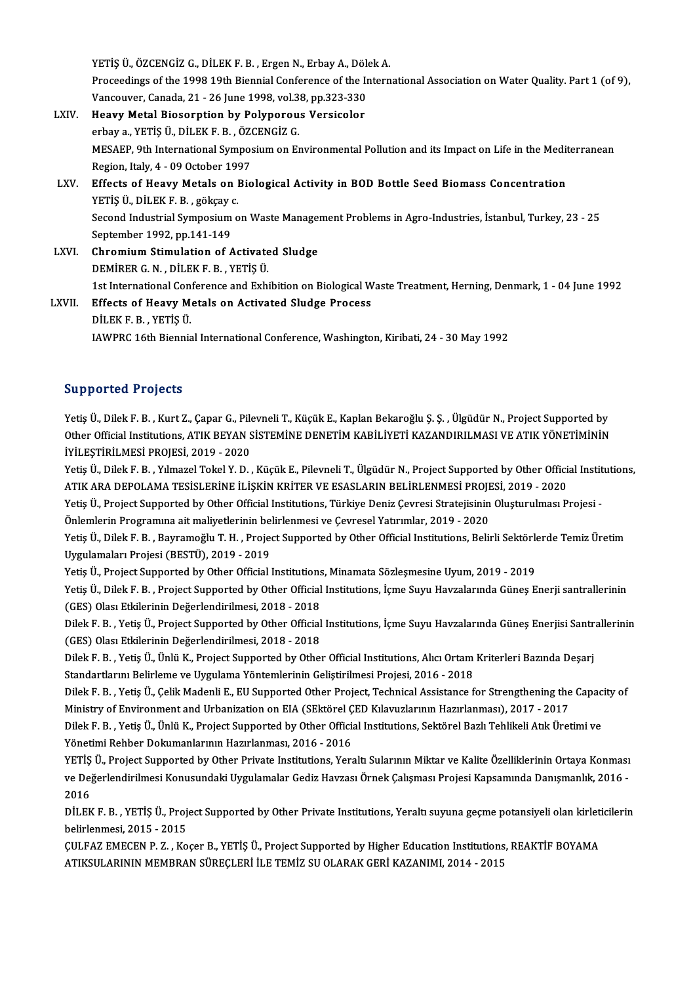YETİŞ Ü., ÖZCENGİZ G., DİLEK F. B. , Ergen N., Erbay A., Dölek A.<br>Presesdings of the 1998 19th Biannial Conference of the Intern Proceedings of the 1998 19th Biennial Conference of the International Association on Water Quality. Part 1 (of 9),<br>Vancouver, Canada, 21 - 26 June 1998, vol.38, pp.323-330 YETİŞ Ü., ÖZCENGİZ G., DİLEK F. B. , Ergen N., Erbay A., Döle<br>Proceedings of the 1998 19th Biennial Conference of the Ir<br>Vancouver, Canada, 21 - 26 June 1998, vol.38, pp.323-330<br>Heauw Matel Biesenntion by Polynonous Vensis Proceedings of the 1998 19th Biennial Conference of the I<br>Vancouver, Canada, 21 - 26 June 1998, vol.38, pp.323-330<br>LXIV. Heavy Metal Biosorption by Polyporous Versicolor<br>orbous VETIS (LDUER B. ÖZGENCIZ C Vancouver, Canada, 21 - 26 June 1998, vol.3<br>Heavy Metal Biosorption by Polyporou<br>erbay a., YETİŞ Ü., DİLEK F. B. , ÖZCENGİZ G.<br>MESAER Ath International Sumnesium on Er He<mark>avy Metal Biosorption by Polyporous Versicolor</mark><br>erbay a., YETİŞ Ü., DİLEK F. B. , ÖZCENGİZ G.<br>MESAEP, 9th International Symposium on Environmental Pollution and its Impact on Life in the Mediterranean<br>Pegian, Italy 4, 0 erbay a., YETİŞ Ü., DİLEK F. B. , ÖZCENGİZ G.<br>MESAEP, 9th International Symposium on Er<br>Region, Italy, 4 - 09 October 1997 MESAEP, 9th International Symposium on Environmental Pollution and its Impact on Life in the Medit<br>Region, Italy, 4 - 09 October 1997<br>LXV. Effects of Heavy Metals on Biological Activity in BOD Bottle Seed Biomass Concentra Effects of Heavy Metals on Biological Activity in BOD Bottle Seed Biomass Concentration Second Industrial Symposium on Waste Management Problems in Agro-Industries, İstanbul, Turkey, 23 - 25<br>September 1992, pp.141-149 YETIS Ü. DILEK F. B., gökcay c. Second Industrial Symposium on Waste Manager<br>September 1992, pp.141-149<br>LXVI. Chromium Stimulation of Activated Sludge<br>DEMIRER C. N. DUEKE B. VETIS II September 1992, pp.141-149<br>Chromium Stimulation of Activate<br>DEMİRER G.N. , DİLEK F.B. , YETİŞ Ü.<br>1st International Conference and Eyb Chromium Stimulation of Activated Sludge<br>DEMİRER G. N. , DİLEK F. B. , YETİŞ Ü.<br>1st International Conference and Exhibition on Biological Waste Treatment, Herning, Denmark, 1 - 04 June 1992<br>Effects of Heavy Metals on Astiv DEMIRER G. N. , DİLEK F. B. , YETİŞ Ü.<br>1st International Conference and Exhibition on Biological W<br>LXVII. Effects of Heavy Metals on Activated Sludge Process<br>pli EV E P. VETİŞ Ü. 1st International Con<br>Effects of Heavy Me<br>DİLEK F. B. , YETİŞ Ü.<br>JAWPPC 16th Bionnis Effects of Heavy Metals on Activated Sludge Process<br>DILEK F. B. , YETIŞ Ü.<br>IAWPRC 16th Biennial International Conference, Washington, Kiribati, 24 - 30 May 1992

## Supported Projects

Yetiş Ü., Dilek F. B., Kurt Z., Çapar G., Pilevneli T., Küçük E., Kaplan Bekaroğlu Ş. Ş., Ülgüdür N., Project Supported by Od per cod 110 joces<br>Yetiş Ü., Dilek F. B. , Kurt Z., Çapar G., Pilevneli T., Küçük E., Kaplan Bekaroğlu Ş. Ş. , Ülgüdür N., Project Supported by<br>Other Official Institutions, ATIK BEYAN SİSTEMİNE DENETİM KABİLİYETİ KAZANDI Yetiş Ü., Dilek F. B. , Kurt Z., Çapar G., Pil<br>Other Official Institutions, ATIK BEYAN S<br>İYİLEŞTİRİLMESİ PROJESİ, 2019 - 2020<br>Yetiş Ü. Dilek E. B., Yılmazel Tekel Y. D. Other Official Institutions, ATIK BEYAN SİSTEMİNE DENETİM KABİLİYETİ KAZANDIRILMASI VE ATIK YÖNETİMİNİN<br>İYİLEŞTİRİLMESİ PROJESİ, 2019 - 2020<br>Yetiş Ü., Dilek F. B. , Yılmazel Tokel Y. D. , Küçük E., Pilevneli T., Ülgüdür N.

İYİLEŞTİRİLMESİ PROJESİ, 2019 - 2020<br>Yetiş Ü., Dilek F. B. , Yılmazel Tokel Y. D. , Küçük E., Pilevneli T., Ülgüdür N., Project Supported by Other Offici<br>ATIK ARA DEPOLAMA TESİSLERİNE İLİŞKİN KRİTER VE ESASLARIN BELİRLENME Yetiş Ü., Dilek F. B. , Yılmazel Tokel Y. D. , Küçük E., Pilevneli T., Ülgüdür N., Project Supported by Other Official Instit<br>ATIK ARA DEPOLAMA TESİSLERİNE İLİŞKİN KRİTER VE ESASLARIN BELİRLENMESİ PROJESİ, 2019 - 2020<br>Yeti

ATIK ARA DEPOLAMA TESİSLERİNE İLİŞKİN KRİTER VE ESASLARIN BELİRLENMESİ PROJESİ, 2019 - 2020<br>Yetiş Ü., Project Supported by Other Official Institutions, Türkiye Deniz Çevresi Stratejisinin Oluşturulması F<br>Önlemlerin Program Yetiş Ü., Project Supported by Other Official Institutions, Türkiye Deniz Çevresi Stratejisinin Oluşturulması Projesi -

Uygulamaları Projesi (BESTÜ), 2019 - 2019 Yetiş Ü., Dilek F. B., Bayramoğlu T. H., Project Supported by Other Official Institutions, Belirli Sektörlerde Temiz Üretim

Yetis Ü., Project Supported by Other Official Institutions, Minamata Sözleşmesine Uyum, 2019 - 2019

Yetiş Ü., Dilek F. B. , Project Supported by Other Official Institutions, İçme Suyu Havzalarında Güneş Enerji santrallerinin<br>(GES) Olası Etkilerinin Değerlendirilmesi, 2018 - 2018

Dilek F.B., Yetiş Ü., Project Supported by Other Official Institutions, İçme Suyu Havzalarında Güneş Enerjisi Santrallerinin (GES) Olası Etkilerinin Değerlendirilmesi, 2018 - 2018 Dilek F. B. , Yetiş Ü., Project Supported by Other Official Institutions, İçme Suyu Havzalarında Güneş Enerjisi Santr<br>(GES) Olası Etkilerinin Değerlendirilmesi, 2018 - 2018<br>Dilek F. B. , Yetiş Ü., Ünlü K., Project Supporte

(GES) Olası Etkilerinin Değerlendirilmesi, 2018 - 2018<br>Dilek F. B. , Yetiş Ü., Ünlü K., Project Supported by Other Official Institutions, Alıcı Ortam<br>Standartlarını Belirleme ve Uygulama Yöntemlerinin Geliştirilmesi Projes Dilek F. B. , Yetiş Ü., Ünlü K., Project Supported by Other Official Institutions, Alıcı Ortam Kriterleri Bazında Deşarj<br>Standartlarını Belirleme ve Uygulama Yöntemlerinin Geliştirilmesi Projesi, 2016 - 2018<br>Dilek F. B. ,

Standartlarını Belirleme ve Uygulama Yöntemlerinin Geliştirilmesi Projesi, 2016 - 2018<br>Dilek F. B. , Yetiş Ü., Çelik Madenli E., EU Supported Other Project, Technical Assistance for Strengthening the Capacity of<br>Ministry o Dilek F. B. , Yetiş Ü., Çelik Madenli E., EU Supported Other Project, Technical Assistance for Strengthening the Capac<br>Ministry of Environment and Urbanization on EIA (SEktörel ÇED Kılavuzlarının Hazırlanması), 2017 - 2017

Ministry of Environment and Urbanization on EIA (SEktörel Ç<br>Dilek F. B. , Yetiş Ü., Ünlü K., Project Supported by Other Officia<br>Yönetimi Rehber Dokumanlarının Hazırlanması, 2016 - 2016<br>VETİŞ Ü. Project Supported by Other P Dilek F. B. , Yetiş Ü., Ünlü K., Project Supported by Other Official Institutions, Sektörel Bazlı Tehlikeli Atık Üretimi ve<br>Yönetimi Rehber Dokumanlarının Hazırlanması, 2016 - 2016<br>YETİŞ Ü., Project Supported by Other Priv

Yönetimi Rehber Dokumanlarının Hazırlanması, 2016 - 2016<br>YETİŞ Ü., Project Supported by Other Private Institutions, Yeraltı Sularının Miktar ve Kalite Özelliklerinin Ortaya Konması<br>ve Değerlendirilmesi Konusundaki Uygulama YETİŞ<br>ve Dej<br>2016<br>Dit Ek ve Değerlendirilmesi Konusundaki Uygulamalar Gediz Havzası Örnek Çalışması Projesi Kapsamında Danışmanlık, 2016<br>2016<br>DİLEK F. B. , YETİŞ Ü., Project Supported by Other Private Institutions, Yeraltı suyuna geçme potansiyeli

2016<br>DİLEK F. B. , YETİŞ Ü., Proj<br>belirlenmesi, 2015 - 2015<br>CULEAZ EMECEN B. Z. - Ko DİLEK F. B. , YETİŞ Ü., Project Supported by Other Private Institutions, Yeraltı suyuna geçme potansiyeli olan kirleti<br>belirlenmesi, 2015 - 2015<br>ÇULFAZ EMECEN P. Z. , Koçer B., YETİŞ Ü., Project Supported by Higher Educati

belirlenmesi, 2015 - 2015<br>ÇULFAZ EMECEN P. Z. , Koçer B., YETİŞ Ü., Project Supported by Higher Education Institutions, REAKTİF BOYAMA<br>ATIKSULARININ MEMBRAN SÜREÇLERİ İLE TEMİZ SU OLARAK GERİ KAZANIMI, 2014 - 2015